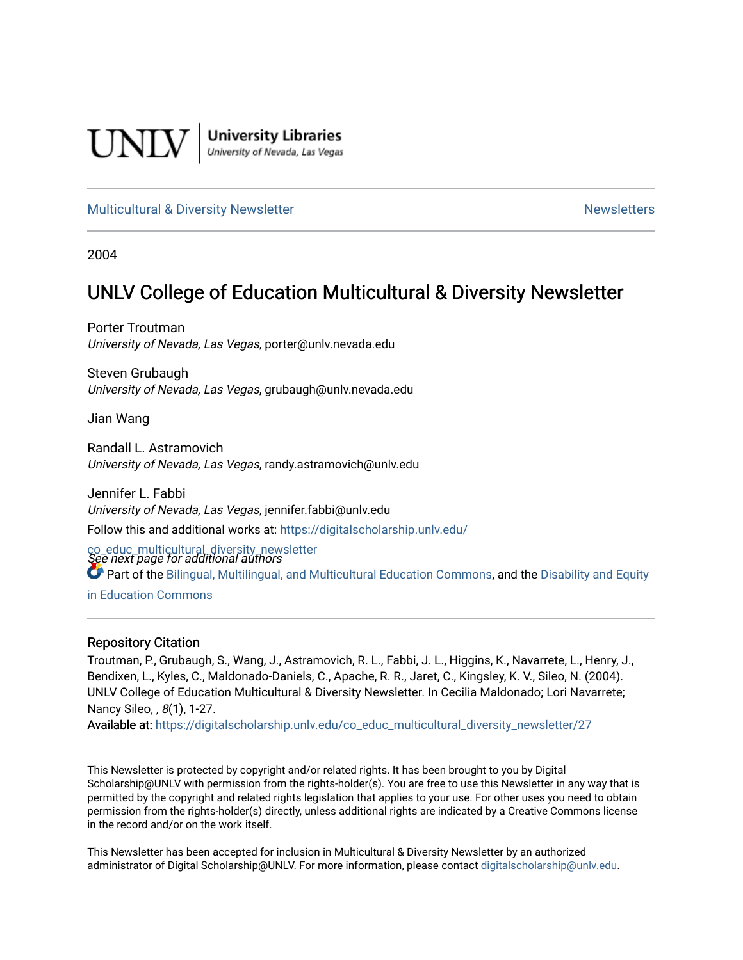

**University Libraries**<br>University of Nevada, Las Vegas

#### [Multicultural & Diversity Newsletter](https://digitalscholarship.unlv.edu/co_educ_multicultural_diversity_newsletter) Newsletter [Newsletters](https://digitalscholarship.unlv.edu/co_educ_newsletters) Newsletters

2004

## UNLV College of Education Multicultural & Diversity Newsletter

Porter Troutman University of Nevada, Las Vegas, porter@unlv.nevada.edu

Steven Grubaugh University of Nevada, Las Vegas, grubaugh@unlv.nevada.edu

Jian Wang

Randall L. Astramovich University of Nevada, Las Vegas, randy.astramovich@unlv.edu

Jennifer L. Fabbi University of Nevada, Las Vegas, jennifer.fabbi@unlv.edu Follow this and additional works at: [https://digitalscholarship.unlv.edu/](https://digitalscholarship.unlv.edu/co_educ_multicultural_diversity_newsletter?utm_source=digitalscholarship.unlv.edu%2Fco_educ_multicultural_diversity_newsletter%2F27&utm_medium=PDF&utm_campaign=PDFCoverPages)

co\_educ\_multicultural\_diversity\_newsletter<br>See next page for additional authors Part of the [Bilingual, Multilingual, and Multicultural Education Commons,](http://network.bepress.com/hgg/discipline/785?utm_source=digitalscholarship.unlv.edu%2Fco_educ_multicultural_diversity_newsletter%2F27&utm_medium=PDF&utm_campaign=PDFCoverPages) and the [Disability and Equity](http://network.bepress.com/hgg/discipline/1040?utm_source=digitalscholarship.unlv.edu%2Fco_educ_multicultural_diversity_newsletter%2F27&utm_medium=PDF&utm_campaign=PDFCoverPages)  [in Education Commons](http://network.bepress.com/hgg/discipline/1040?utm_source=digitalscholarship.unlv.edu%2Fco_educ_multicultural_diversity_newsletter%2F27&utm_medium=PDF&utm_campaign=PDFCoverPages)

#### Repository Citation

Troutman, P., Grubaugh, S., Wang, J., Astramovich, R. L., Fabbi, J. L., Higgins, K., Navarrete, L., Henry, J., Bendixen, L., Kyles, C., Maldonado-Daniels, C., Apache, R. R., Jaret, C., Kingsley, K. V., Sileo, N. (2004). UNLV College of Education Multicultural & Diversity Newsletter. In Cecilia Maldonado; Lori Navarrete; Nancy Sileo, , 8(1), 1-27.

Available at: [https://digitalscholarship.unlv.edu/co\\_educ\\_multicultural\\_diversity\\_newsletter/27](https://digitalscholarship.unlv.edu/co_educ_multicultural_diversity_newsletter/27) 

This Newsletter is protected by copyright and/or related rights. It has been brought to you by Digital Scholarship@UNLV with permission from the rights-holder(s). You are free to use this Newsletter in any way that is permitted by the copyright and related rights legislation that applies to your use. For other uses you need to obtain permission from the rights-holder(s) directly, unless additional rights are indicated by a Creative Commons license in the record and/or on the work itself.

This Newsletter has been accepted for inclusion in Multicultural & Diversity Newsletter by an authorized administrator of Digital Scholarship@UNLV. For more information, please contact [digitalscholarship@unlv.edu.](mailto:digitalscholarship@unlv.edu)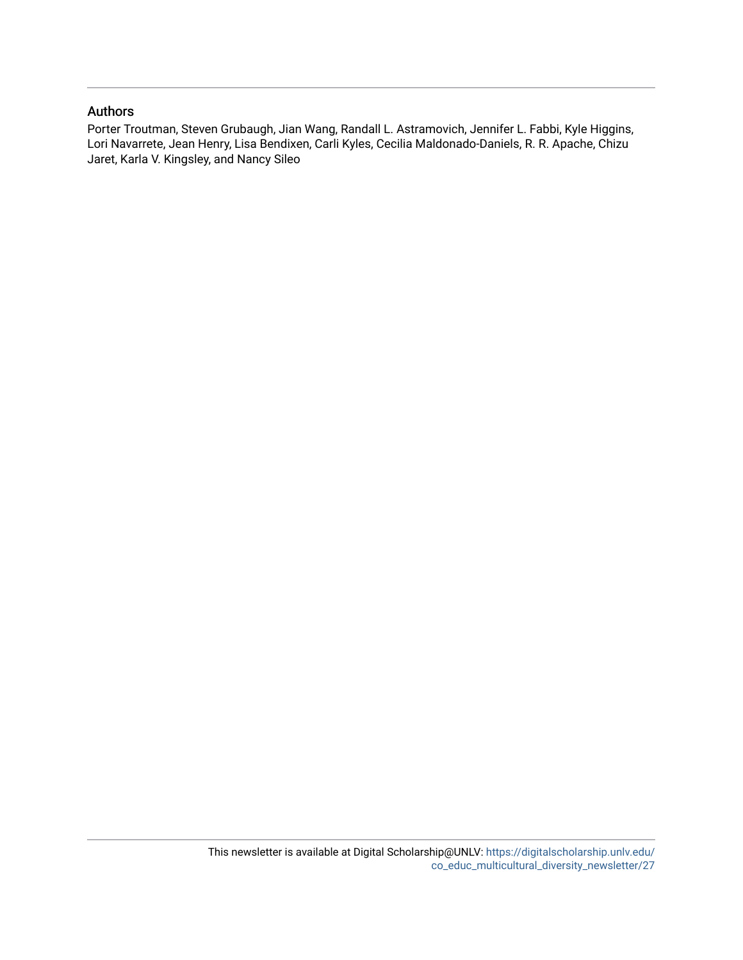#### Authors

Porter Troutman, Steven Grubaugh, Jian Wang, Randall L. Astramovich, Jennifer L. Fabbi, Kyle Higgins, Lori Navarrete, Jean Henry, Lisa Bendixen, Carli Kyles, Cecilia Maldonado-Daniels, R. R. Apache, Chizu Jaret, Karla V. Kingsley, and Nancy Sileo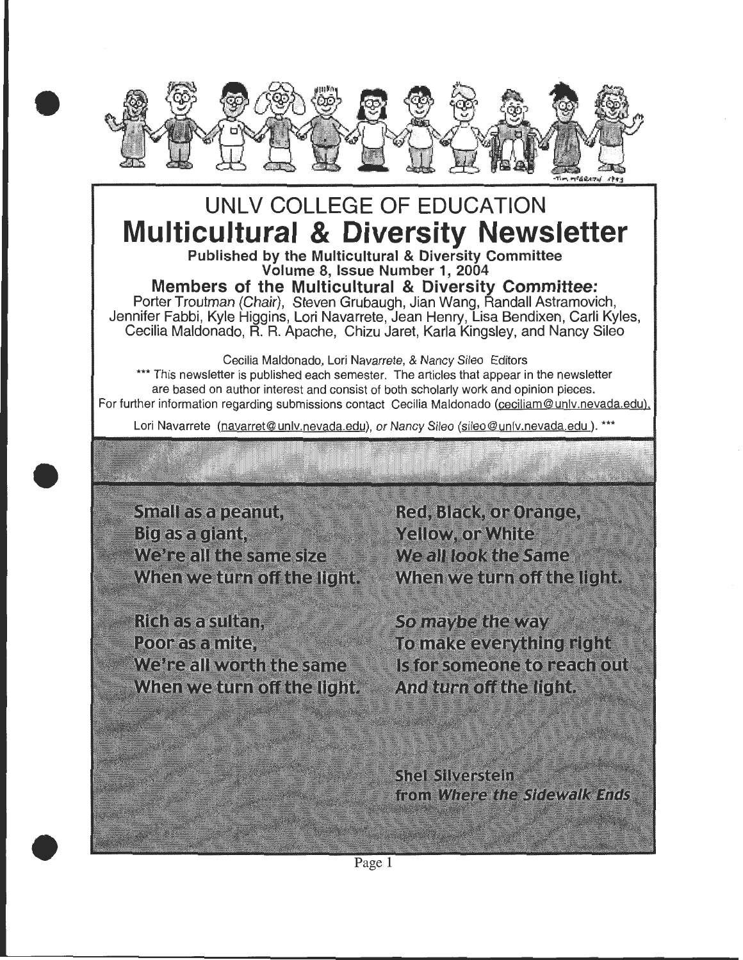

# **UNLV COLLEGE OF EDUCATION Multicultural & Diversity Newsletter**

Published by the Multicultural & Diversity Committee Volume 8, Issue Number 1, 2004

**Members of the Multicultural & Diversity Committee:**  Porter Troutman (Chair), Steven Grubaugh, Jian Wang, Randall Astramovich, Jennifer Fabbi, Kyle Higgins, Lori Navarrete, Jean Henry, Lisa Bendixen, Carli Kyles, Cecilia Maldonado, R. R. Apache, Chizu Jaret, Karla Kingsley, and Nancy Sileo

Cecilia Maldonado, Lori Navarrete, & Nancy Sileo Editors \*\*\* This newsletter is published each semester. The articles that appear in the newsletter are based on author interest and consist of both scholarly work and opinion pieces. For further information regarding submissions contact Cecilia Maldonado (ceciliam@unlv.nevada.edu),

Lori Navarrete (navarret@unlv.nevada.edu), or Nancy Sileo (sileo@unlv.nevada.edu). \*\*\*

Small as a peanut, Big as a giant, We're all the same size When we turn off the light.

•

•

Rích as a sultan. Poor as a mite. We're all worth the same When we turn off the light.

Red, Black, or Orange, **Yellow, or White** We all look the Same When we turn off the light.

So maybe the way To make everything right Is for someone to reach out And turn of the light.

**Shel Silverstein** from Where the Sidewalk Ends

Page 1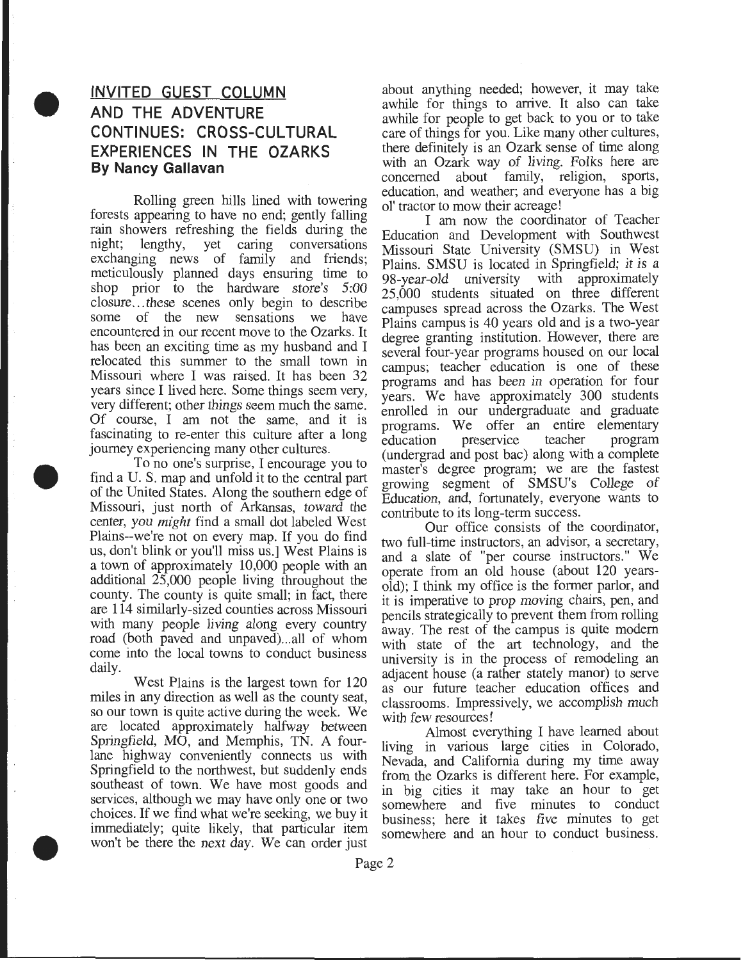## **INVITED GUEST COLUMN AND THE ADVENTURE CONTINUES: CROSS-CULTURAL EXPERIENCES IN THE OZARKS By Nancy Gallavan**

•

•

•

Rolling green hills lined with towering forests appearing to have no end; gently falling rain showers refreshing the fields during the night; lengthy, yet caring conversations exchanging news of family and friends; meticulously planned days ensuring time to shop prior to the hardware store's 5:00 closure ... these scenes only begin to describe some of the new sensations we have encountered in our recent move to the Ozarks. It has been an exciting time as my husband and I relocated this summer to the small town in Missouri where I was raised. It has been 32 years since I lived here. Some things seem very, very different; other things seem much the same. Of course, I am not the same, and it is fascinating to re-enter this culture after a long journey experiencing many other cultures.

To no one's surprise, I encourage you to find a U. S. map and unfold it to the central part of the United States. Along the southern edge of Missouri, just north of Arkansas, toward the center, you *might* find a small dot labeled West Plains--we're not on every map. If you do find us, don't blink or you'll miss us.] West Plains is a town of approximately 10,000 people with an additional 25,000 people living throughout the county. The county is quite small; in fact, there are **114** similarly-sized counties across Missouri with many people living along every country road (both paved and unpaved)...all of whom come into the local towns to conduct business daily.

West Plains is the largest town for 120 miles in any direction as well as the county seat, so our town is quite active during the week. We are located approximately halfway between Springfield, MO, and Memphis, TN. A fourlane highway conveniently connects us with Springfield to the northwest, but suddenly ends southeast of town. We have most goods and services, although we may have only one or two choices. If we find what we're seeking, we buy it immediately; quite likely, that particular item won't be there the next day. We can order just

about anything needed; however, it may take awhile for things to arrive. It also can take awhile for people to get back to you or to take care of things for you. Like many other cultures, there definitely is an Ozark sense of time along with an Ozark way of living. Folks here are concerned about family, religion, sports, education, and weather; and everyone has a big ol' tractor to mow their acreage!

I am now the coordinator of Teacher Education and Development with Southwest Missouri State University (SMSU) in West Plains. SMSU is located in Springfield; it is a 98-year-old university with approximately 25,000 students situated on three different campuses spread across the Ozarks. The West Plains campus is 40 years old and is a two-year degree granting institution. However, there are several four-year programs housed on our local campus; teacher education is one of these programs and has been in operation for four years. We have approximately 300 students enrolled in our undergraduate and graduate programs. We offer an entire elementary<br>education preservice teacher program education preservice teacher program (undergrad and post bac) along with a complete master's degree program; we are the fastest growing segment of SMSU's College of Education, and, fortunately, everyone wants to contribute to its long-term success. .

Our office consists of the coordinator, two full-time instructors, an advisor, a secretary, and a slate of "per course instructors." We operate from an old house (about 120 yearsold); I think my office is the former parlor, and it is imperative to prop moving chairs, pen, and pencils strategically to prevent them from rolling away. The rest of the campus is quite modem with state of the art technology, and the university is in the process of remodeling an adjacent house (a rather stately manor) to serve as our future teacher education offices and classrooms. Impressively, we accomplish much with few resources!

Almost everything I have learned about living in various large cities in Colorado, Nevada, and California during my time away from the Ozarks is different here. For example, in big cities it may take an hour to get somewhere and five minutes to conduct business; here it takes five minutes to get somewhere and an hour to conduct business.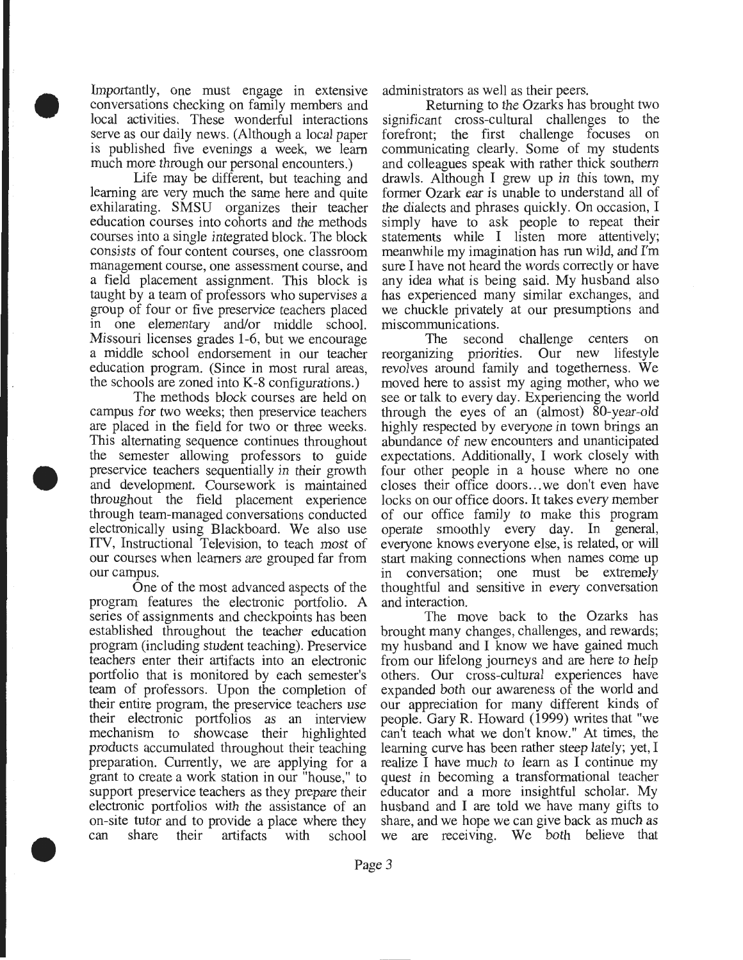Importantly, one must engage in extensive conversations checking on family members and local activities. These wonderful interactions serve as our daily news. (Although a local paper is published five evenings a week, we learn much more through our personal encounters.)

•

•

•

Life may be different, but teaching and learning are very much the same here and quite exhilarating. SMSU organizes their teacher education courses into cohorts and the methods courses into a single integrated block. The block consists of four content courses, one classroom management course, one assessment course, and a field placement assignment. This block is taught by a team of professors who supervises a group of four or five preservice teachers placed in one elementary and/or middle school. Missouri licenses grades 1-6, but we encourage a middle school endorsement in our teacher education program. (Since in most rural areas, the schools are zoned into K-8 configurations.)

The methods block courses are held on campus for two weeks; then preservice teachers are placed in the field for two or three weeks. This alternating sequence continues throughout the semester allowing professors to guide preservice teachers sequentially in their growth and development. Coursework is maintained throughout the field placement experience through team-managed conversations conducted electronically using Blackboard. We also use ITV, Instructional Television, to teach most of our courses when learners are grouped far from our campus.

One of the most advanced aspects of the program features the electronic portfolio. A series of assignments and checkpoints has been established throughout the teacher education program (including student teaching). Preservice teachers enter their artifacts into an electronic portfolio that is monitored by each semester's team of professors. Upon the completion of their entire program, the preservice teachers use their electronic portfolios as an interview mechanism to showcase their highlighted products accumulated throughout their teaching preparation. Currently, we are applying for a grant to create a work station in our "house," to support preservice teachers as they prepare their electronic portfolios with the assistance of an on-site tutor and to provide a place where they can share their artifacts with school

administrators as well as their peers .

Returning to the Ozarks has brought two significant cross-cultural challenges to the forefront; the first challenge focuses on communicating clearly. Some of my students and colleagues speak with rather thick southern drawls. Although I grew up in this town, my former Ozark ear is unable to understand all of the dialects and phrases quickly. On occasion, I simply have to ask people to repeat their statements while I listen more attentively; meanwhile my imagination has run wild, and I'm sure I have not heard the words correctly or have any idea what is being said. My husband also has experienced many similar exchanges, and we chuckle privately at our presumptions and miscommunications.

The second challenge centers on reorganizing priorities. Our new lifestyle revolves around family and togetherness. We moved here to assist my aging mother, who we see or talk to every day. Experiencing the world through the eyes of an (almost) 80-year-old highly respected by everyone in town brings an abundance of new encounters and unanticipated expectations. Additionally, I work closely with four other people in a house where no one closes their office doors ... we don't even have locks on our office doors. It takes every member of our office family to make this program operate smoothly every day. In general, everyone knows everyone else, is related, or will start making connections when names come up in conversation; one must be extremely thoughtful and sensitive in every conversation and interaction.

The move back to the Ozarks has brought many changes, challenges, and rewards; my husband and I know we have gained much from our lifelong journeys and are here to help others. Our cross-cultural experiences have expanded both our awareness of the world and our appreciation for many different kinds of people. Gary R. Howard (1999) writes that "we can't teach what we don't know." At times, the learning curve has been rather steep lately; yet, I realize I have much to learn as I continue my quest in becoming a transformational teacher educator and a more insightful scholar. My husband and I are told we have many gifts to share, and we hope we can give back as much as we are receiving. We both believe that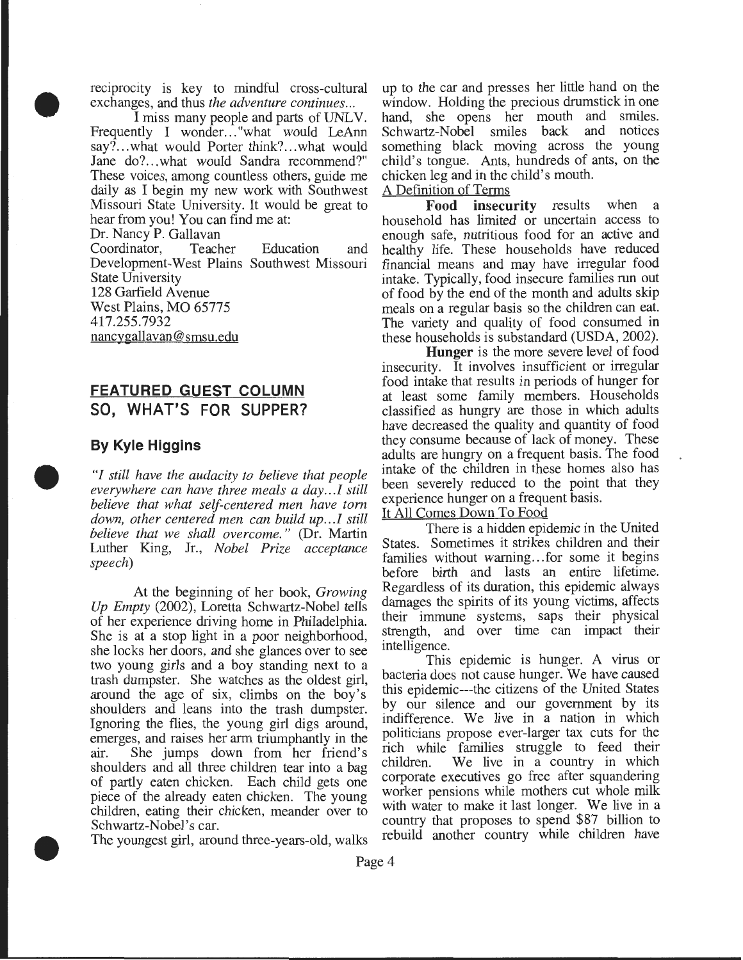reciprocity is key to mindful cross-cultural exchanges, and thus *the adventure continues ...* 

• I miss many people and parts of UNLV. Frequently I wonder..."what would LeAnn say?...what would Porter think?...what would Jane do?...what would Sandra recommend?" These voices, among countless others, guide me daily as I begin my new work with Southwest Missouri State University. It would be great to hear from you! You can find me at:

Dr. Nancy P. Gallavan

Coordinator, Teacher Education and Development-West Plains Southwest Missouri State University 128 Garfield Avenue West Plains, MO 65775 417.255.7932 nancygallavan@ smsu.edu

## **FEATURED GUEST COLUMN SO, WHAT'S FOR SUPPER?**

### **By Kyle Higgins**

•

•

*"I still have the audacity to believe that people everywhere can have three meals a day ... I still believe that what self-centered men have tom down, other centered men can build up ... / still believe that we shall overcome.* " (Dr. Martin Luther King, Jr., *Nobel Prize acceptance speech)* 

*Up Empty (2002)*, Loretta Schwartz-Nobel tells of her experience driving home in Philadelphia. their immune systems, saps their physical<br>She is at a stop light in a poor peighborhood strength, and over time can impact their She is at a stop light in a poor neighborhood, strength, and one impact to see intelligence. she locks her doors, and she glances over to see intelligence.<br>We young girls and a boy standing next to a This epidemic is hunger. A virus or two young girls and a boy standing next to a<br>trash dumneter. She watches as the oldest girl bacteria does not cause hunger. We have caused trash dumpster. She watches as the oldest girl, around the age of six, climbs on the boy's this epidemic---the citizens of the United States shoulders and leans into the trash dumneter by our silence and our government by its shoulders and leans into the trash dumpster. by our silence and our government by its<br>Ignoring the flies the young girl digs around indifference. We live in a nation in which Ignoring the flies, the young girl digs around, indifference. We live in a nation in which<br>emerges and raises her arm triumphantly in the politicians propose ever-larger tax cuts for the emerges, and raises her arm triumphantly in the politicians propose ever-larger tax cuts for the<br>existing the inner down from her friend's rich while families struggle to feed their air. She jumps down from her friend's rich while families struggle to feed their<br>shoulders and all three children tear into a bag, children. We live in a country in which shoulders and all three children tear into a bag children. We live in a country in which<br>of partly eaten chicken. Each child gets one corporate executives go free after squandering of partly eaten chicken. Each child gets one corporate executives go free after squandering<br>piece of the already eaten chicken. The young worker pensions while mothers cut whole milk piece of the already eaten chicken. The young worker pensions while mothers cut whole finite<br>children, eating their chicken, meander over to with water to make it last longer. We live in a children, eating their chicken, meander over to

The youngest girl, around three-years-old, walks

up to the car and presses her little hand on the window. Holding the precious drumstick in one hand, she opens her mouth and smiles. Schwartz-Nobel smiles back and notices something black moving across the young child's tongue. Ants, hundreds of ants, on the chicken leg and in the child's mouth.

#### A Definition of Terms

**Food insecurity** results when a household has limited or uncertain access to enough safe, nutritious food for an active and healthy life. These households have reduced financial means and may have irregular food intake. Typically, food insecure families run out of food by the end of the month and adults skip meals on a regular basis so the children can eat. The variety and quality of food consumed in these households is substandard (USDA, 2002).

**Hunger** is the more severe level of food insecurity. It involves insufficient or irregular food intake that results in periods of hunger for at least some family members. Households classified as hungry are those in which adults have decreased the quality and quantity of food they consume because of lack of money. These adults are hungry on a frequent basis. The food intake of the children in these homes also has been severely reduced to the point that they experience hunger on a frequent basis.

#### It All Comes Down To Food

There is a hidden epidemic in the United States. Sometimes it strikes children and their families without warning... for some it begins before birth and lasts an entire lifetime. At the beginning of her book, *Growing* Regardless of its duration, this epidemic always<br>nty (2002), Loretto Schwertz Nobel tells damages the spirits of its young victims, affects

Schwartz-Nobel's car.<br>
The youngest girl, eround three years ald wells rebuild another country while children have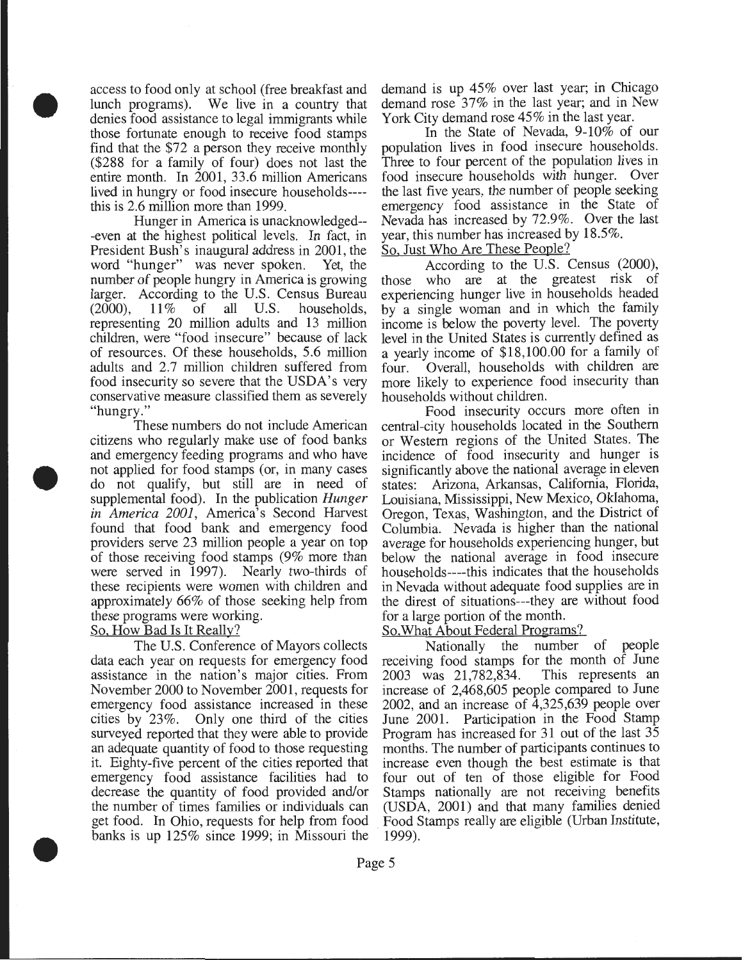lunch programs). We live in a country that demand rose  $37\%$  in the last year; and in New denies food assistance to legal immigrants while York City demand rose  $45\%$  in the last year. denies food assistance to legal immigrants while York City demand rose 45% in the last year.<br>those fortunate enough to receive food stamps and the State of Nevada, 9-10% of our those fortunate enough to receive food stamps find that the \$72 a person they receive monthly population lives in food insecure households. (\$288 for a family of four) does not last the Three to four percent of the population lives in entire month. In 2001, 33.6 million Americans food insecure households with hunger. Over entire month. In 2001, 33.6 million Americans food insecure households with hunger. Over<br>lived in hungry or food insecure households---- the last five years, the number of people seeking lived in hungry or food insecure households----

•

•

•

-even at the highest political levels. In fact, in year, this number has increased b<br>President Bush's inaugural address in 2001, the So, Just Who Are These People? President Bush's inaugural address in 2001, the So, Just Who Are These People?<br>word "hunger" was never spoken. Yet, the According to the U.S. Census (2000), word "hunger" was never spoken. Yet, the number of people hungry in America is growing number of people hungry in America is growing those who are at the greatest risk of larger. According to the U.S. Census Bureau experiencing hunger live in households headed  $(2000)$ ,  $11\%$  of all U.S. households, by a single woman and in which the family representing 20 million adults and 13 million income is below the poverty level. The poverty representing 20 million adults and 13 million children, were "food insecure" because of lack children, were "food insecure" because of lack level in the United States is currently defined as of resources. Of these households, 5.6 million a yearly income of \$18,100.00 for a family of adults and 2.7 million children suffered from four. food insecurity so severe that the USDA's very more likely to experience food insecurity than conservative measure classified them as severely households without children.

and emergency feeding programs and who have incidence of food insecurity and hunger is not applied for food stamps (or, in many cases significantly above the national average in eleven do not qualify, but still are in need of states: Arizona, Arkansas, California, Florida, supplemental food). In the publication *Hunger* Louisiana, Mississippi, New Mexico, Oklahoma, *in America 2001,* America's Second Harvest Oregon, Texas, Washington, and the District of found that food bank and emergency food Columbia. Nevada is higher than the national providers serve 23 million people a year on top average for households experiencing hunger, but of those receiving food stamps (9% more than below the national average in food insecure were served in 1997). Nearly two-thirds of households----this indicates that the households these recipients were women with children and in Nevada without adequate food supplies are in approximately 66% of those seeking help from the direst of situations---they are without food these programs were working. for a large portion of the month.

data each year on requests for emergency food receiving food stamps for the month of June assistance in the nation's major cities. From 2003 was 21.782.834. This represents an assistance in the nation's major cities. From  $2003$  was  $21,782,834$ . November 2000 to November 2001, requests for increase of 2,468,605 people compared to June emergency food assistance increased in these 2002, and an increase of 4,325,639 people over cities by 23%. Only one third of the cities June 2001. Participation in the Food Stamp surveyed reported that they were able to provide Program has increased for 31 out of the last 35 an adequate quantity of food to those requesting months. The number of participants continues to an adequate quantity of food to those requesting it. Eighty-five percent of the cities reported that increase even though the best estimate is that emergency food assistance facilities had to decrease the quantity of food provided and/or Stamps nationally are not receiving benefits the number of times families or individuals can (USDA, 2001) and that many families denied get food. In Ohio, requests for help from food Food Stamps really are eligible (Urban Institute, banks is up  $125\%$  since 1999; in Missouri the 1999).

access to food only at school (free breakfast and demand is up 45% over last year; in Chicago

this is 2.6 million more than 1999. emergency food assistance in the State of Hunger in America is unacknowledged-- Nevada has increased by 72.9%. Over the last t the highest political levels. In fact, in year, this number has increased by 18.5%.

experiencing hunger live in households headed a yearly income of \$18,100.00 for a family of four. Overall, households with children are

"hungry." Food insecurity occurs more often in These numbers do not include American central-city households located in the Southern citizens who regularly make use of food banks or Western regions of the United States. The or Western regions of the United States. The

#### So, How Bad Is It Really? So, What About Federal Programs?

The U.S. Conference of Mayors collects Nationally the number of people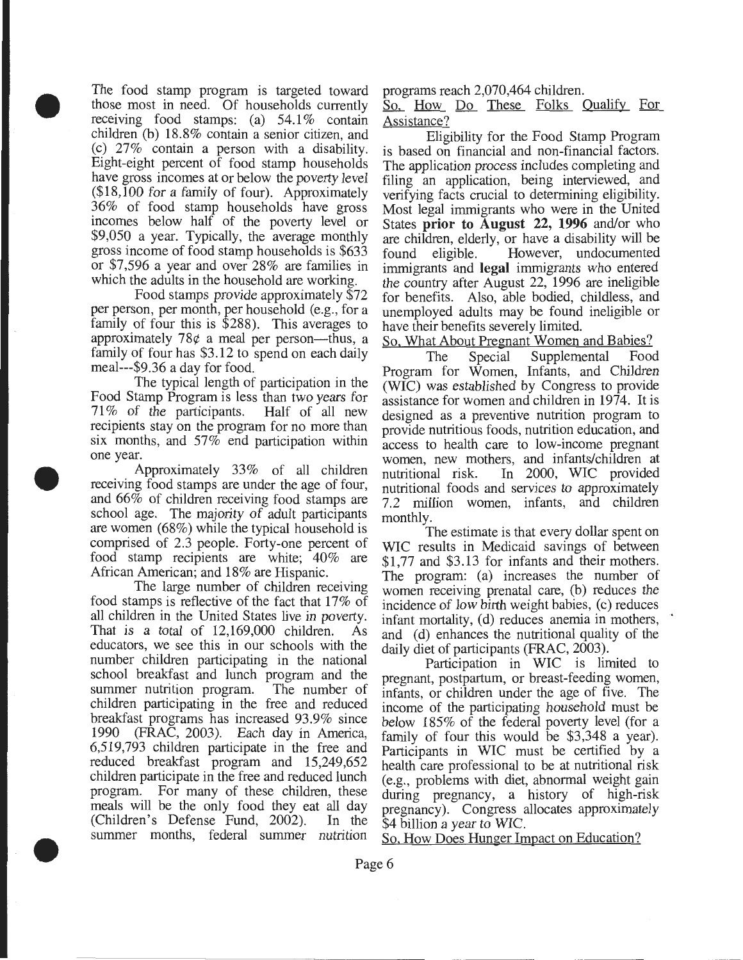The food stamp program is targeted toward those most in need. Of households currently receiving food stamps: (a) 54.1% contain children (b) 18.8% contain a senior citizen, and (c) 27% contain a person with a disability. Eight-eight percent of food stamp households have gross incomes at or below the poverty level (\$18,100 for a family of four). Approximately 36% of food stamp households have gross incomes below half of the poverty level or \$9,050 a year. Typically, the average monthly gross income of food stamp households is \$633 or \$7,596 a year and over 28% are families in which the adults in the household are working.

•

•

•

Food stamps provide approximately \$72 per person, per month, per household (e.g., for a family of four this is \$288). This averages to approximately  $78¢$  a meal per person—thus, a family of four has \$3.12 to spend on each daily meal---\$9.36 a day for food.

The typical length of participation in the Food Stamp Program is less than two years for 71% of the participants. Half of all new recipients stay on the program for no more than six months, and 57% end participation within one year.

Approximately 33% of all children receiving food stamps are under the age of four, and 66% of children receiving food stamps are school age. The majority of adult participants are women (68%) while the typical household is comprised of 2.3 people. Forty-one percent of food stamp recipients are white; 40% are African American; and 18% are Hispanic.

The large number of children receiving food stamps is reflective of the fact that 17% of all children in the United States live in poverty. That is a total of 12,169,000 children. As educators, we see this in our schools with the number children participating in the national school breakfast and lunch program and the summer nutrition program. The number of children participating in the free and reduced breakfast programs has increased 93.9% since 1990 (FRAC, 2003). Each day in America, 6,519,793 children participate in the free and reduced breakfast program and 15,249,652 children participate in the free and reduced lunch program. For many of these children, these meals will be the only food they eat all day (Children's Defense Fund, 2002). In the summer months, federal summer nutrition

programs reach 2,070,464 children.

So, How Do These Folks Qualify For Assistance?

Eligibility for the Food Stamp Program is based on financial and non-financial factors. The application process includes completing and filing an application, being interviewed, and verifying facts crucial to determining eligibility. Most legal immigrants who were in the Umted States **prior to August** 22, **1996** and/or who are children, elderly, or have a disability will be found eligible. However, undocumented immigrants and **legal** immigrants who entered the country after August 22, 1996 are ineligible for benefits. Also, able bodied, childless, and unemployed adults may be found ineligible or have their benefits severely limited.

So, What About Pregnant Women and Babies?

The Special Supplemental Food Program for Women, Infants, and Children (WIC) was established by Congress to provide assistance for women and children in 1974. It is designed as a preventive nutrition program to provide nutritious foods, nutrition education, and access to health care to low-income pregnant women, new mothers, and infants/children at nutritional risk. In 2000, WIC provided In 2000, WIC provided nutritional foods and services to approximately 7.2 million women, infants, and children monthly.

The estimate is that every dollar spent on WIC results in Medicaid savings of between \$1,77 and \$3.13 for infants and their mothers. The program: (a) increases the number of women receiving prenatal care, (b) reduces the incidence of low birth weight babies, (c) reduces infant mortality, (d) reduces anemia in mothers, and (d) enhances the nutritional quality of the daily diet of participants (FRAC, 2003).

Participation in WIC is limited to pregnant, postpartum, or breast-feeding women, infants, or children under the age of five. The income of the participating household must be below 185% of the federal poverty level (for a family of four this would be \$3,348 a year). Participants in WIC must be certified by a health care professional to be at nutritional risk (e.g., problems with diet, abnormal weight gain during pregnancy, a history of high-risk pregnancy). Congress allocates approximately \$4 billion a year to WIC.

So. How Does Hunger Impact on Education?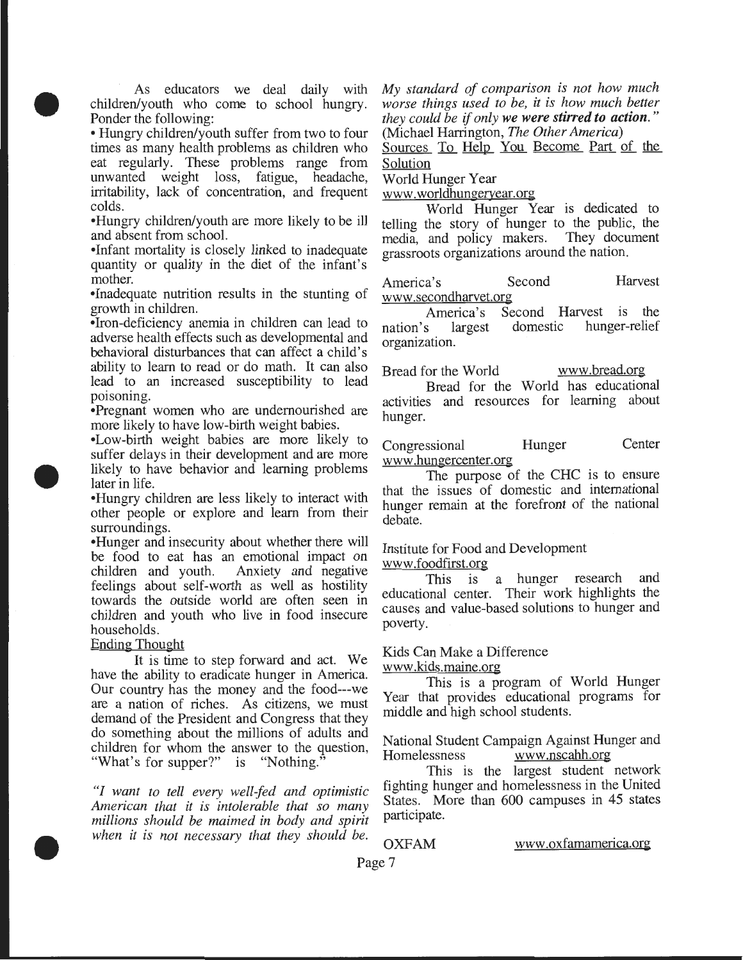As educators we deal daily with children/youth who come to school hungry. Ponder the following:

•

•

•

• Hungry children/youth suffer from two to four times as many health problems as children who eat regularly. These problems range from unwanted weight loss, fatigue, headache, irritability, lack of concentration, and frequent colds.

•Hungry children/youth are more likely to be ill and absent from school.

•Infant mortality is closely linked to inadequate quantity or quality in the diet of the infant's mother.

•Inadequate nutrition results in the stunting of growth in children.

•Iron-deficiency anemia in children can lead to adverse health effects such as developmental and behavioral disturbances that can affect a child's ability to learn to read or do math. It can also lead to an increased susceptibility to lead poisoning.

•Pregnant women who are undernourished are more likely to have low-birth weight babies.

•Low-birth weight babies are more likely to suffer delays in their development and are more likely to have behavior and learning problems later in life.

•Hungry children are less likely to interact with other people or explore and learn from their

surroundings.<br>•Hunger and insecurity about whether there will be food to eat has an emotional impact on children and youth. Anxiety and negative feelings about self-worth as well as hostility towards the outside world are often seen in children and youth who live in food insecure households.

#### Ending Thought

It is time to step forward and act. We have the ability to eradicate hunger in America. Our country has the money and the food---we are a nation of riches. As citizens, we must demand of the President and Congress that they do something about the millions of adults and children for whom the answer to the question, "What's for supper?" is "Nothing."

*"I want to tell every well-fed and optimistic American that it is intolerable that so many millions should be maimed in body and spirit when it is not necessary that they should be.* 

*My standard of comparison is not how much worse things used to be, it is how much better they could be if only we were stirred to action.*" (Michael Harrington, *The Other America*)

Sources To Help You Become Part of the Solution

World Hunger Year

hunger.

www. worldhungeryear.org

World Hunger Year is dedicated to telling the story of hunger to the public, the media, and policy makers. They document grassroots organizations around the nation.

America's Second Harvest www .secondharvet.org

America's Second Harvest is the<br>s largest domestic hunger-relief nation's largest domestic hunger-relief organization.

Bread for the World www.bread.org Bread for the World has educational activities and resources for learning about

Congressional Hunger Center www .hungercenter.org

The purpose of the CHC is to ensure that the issues of domestic and international hunger remain at the forefront of the national debate.

#### Institute for Food and Development www .foodfirst.org

This is a hunger research and educational center. Their work highlights the causes and value-based solutions to hunger and poverty.

## Kids Can Make a Difference

www .kids.maine.org

This is a program of World Hunger Year that provides educational programs for middle and high school students.

National Student Campaign Against Hunger and Homelessness www.nscahh.org

This is the largest student network fighting hunger and homelessness in the United States. More than 600 campuses in 45 states participate.

OXFAM www .oxfamamerica.org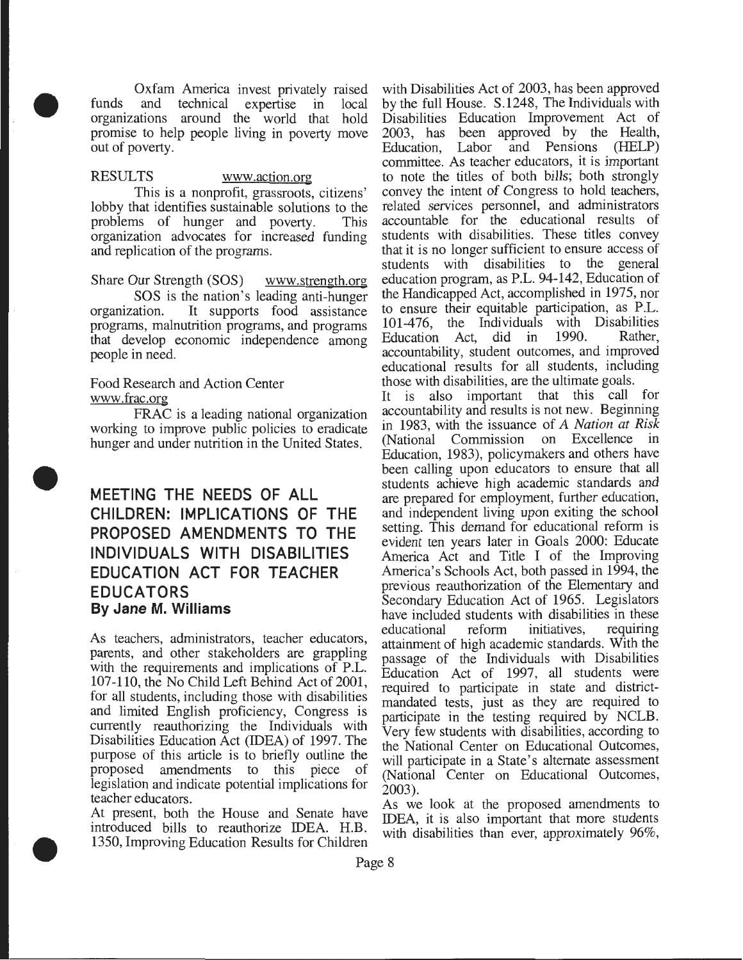Oxfam America invest privately raised funds and technical expertise in local organizations around the world that hold promise to help people living in poverty move out of poverty.

### RESULTS www.action.org

•

•

•

This is a nonprofit, grassroots, citizens' lobby that identifies sustainable solutions to the problems of hunger and poverty. This organization advocates for increased funding and replication of the programs.

Share Our Strength (SOS) www.strength.org

SOS is the nation's leading anti-hunger organization. It supports food assistance programs, malnutrition programs, and programs that develop economic independence among people in need.

#### Food Research and Action Center www .frac.org

FRAC is a leading national organization working to improve public policies to eradicate hunger and under nutrition in the United States.

## **MEETING THE NEEDS OF ALL CHILDREN: IMPLICATIONS OF THE PROPOSED AMENDMENTS TO THE INDIVIDUALS WITH DISABILITIES EDUCATION ACT FOR TEACHER EDUCATORS By Jane M. Williams**

As teachers, administrators, teacher educators, parents, and other stakeholders are grappling with the requirements and implications of P.L. 107-110, the No Child Left Behind Act of 2001, for all students, including those with disabilities and limited English proficiency, Congress is currently reauthorizing the Individuals with Disabilities Education Act (IDEA) of 1997. The purpose of this article is to briefly outline the proposed amendments to this piece of legislation and indicate potential implications for teacher educators.

At present, both the House and Senate have introduced bills to reauthorize IDEA. H.B. 1350, Improving Education Results for Children with Disabilities Act of 2003, has been approved by the full House. S.1248, The Individuals with Disabilities Education Improvement Act of 2003, has been approved by the Health, Education, Labor and Pensions (HELP) committee. As teacher educators, it is important to note the titles of both bills; both strongly convey the intent of Congress to hold teachers, related services personnel, and administrators accountable for the educational results of students with disabilities. These titles convey that it is no longer sufficient to ensure access of students with disabilities to the general education program, as P.L. 94-142, Education of the Handicapped Act, accomplished in 1975, nor to ensure their equitable participation, as P.L. 101-476, the Individuals with Disabilities Education Act, did in 1990. Rather, accountability, student outcomes, and improved educational results for all students, including those with disabilities, are the ultimate goals.

It is also important that this call for accountability and results is not new. Beginning in 1983, with the issuance of *A Nation at Risk*  (National Commission on Excellence in Education, 1983), policymakers and others have been calling upon educators to ensure that all students achieve high academic standards and are prepared for employment, further education, and independent living upon exiting the school setting. This demand for educational reform is evident ten years later in Goals 2000: Educate America Act and Title I of the Improving America's Schools Act, both passed in 1994, the previous reauthorization of the Elementary and Secondary Education Act of 1965. Legislators have included students with disabilities in these<br>educational reform initiatives, requiring educational attainment of high academic standards. With the passage of the Individuals with Disabilities Education Act of 1997, all students were required to participate in state and districtmandated tests, just as they are required to participate in the testing required by NCLB. Very few students with disabilities, according to the National Center on Educational Outcomes, will participate in a State's alternate assessment (National Center on Educational Outcomes, 2003).

As we look at the proposed amendments to IDEA, it is also important that more students with disabilities than ever, approximately 96%,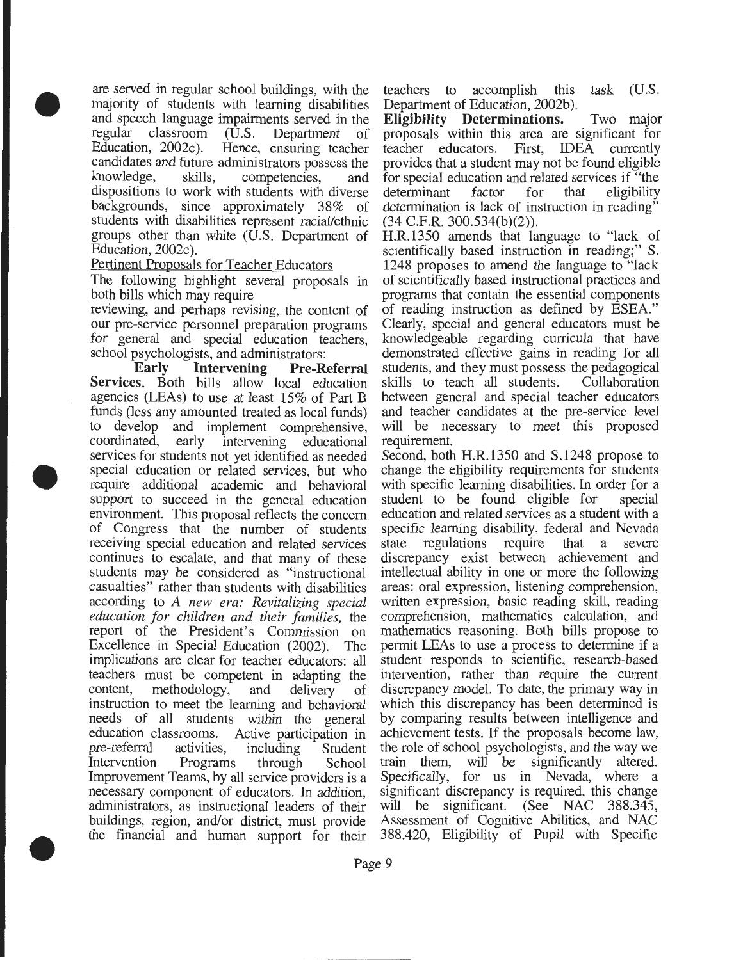are served in regular school buildings, with the majority of students with learning disabilities and speech language impairments served in the regular classroom (U.S. Department of Education, 2002c). Hence, ensuring teacher candidates and future administrators possess the knowledge, skills, competencies, and dispositions to work with students with diverse backgrounds, since approximately 38% of students with disabilities represent racial/ethnic groups other than white (U.S. Department of Education, 2002c).

#### Pertinent Proposals for Teacher Educators

•

•

•

The following highlight several proposals in both bills which may require

reviewing, and perhaps revising, the content of our pre-service personnel preparation programs for general and special education teachers, school psychologists, and administrators:

**Early Intervening Pre-Referral Services.** Both bills allow local education agencies (LEAs) to use at least 15% of Part B funds (less any amounted treated as local funds) to develop and implement comprehensive,<br>coordinated, early intervening educational intervening educational services for students not yet identified as needed special education or related services, but who require additional academic and behavioral support to succeed in the general education environment. This proposal reflects the concern of Congress that the number of students receiving special education and related services continues to escalate, and that many of these students may be considered as "instructional casualties" rather than students with disabilities according to *A new era: Revitalizing special education for children and their families,* the report of the President's Commission on Excellence in Special Education (2002). The implications are clear for teacher educators: all teachers must be competent in adapting the content, methodology, and delivery of instruction to meet the learning and behavioral needs of all students within the general education classrooms. Active participation in pre-referral activities, including Student Intervention Programs through School Improvement Teams, by all service providers is a necessary component of educators. In addition, administrators, as instructional leaders of their buildings, region, and/or district, must provide the financial and human support for their teachers to accomplish this task (U.S . Department of Education, 2002b).

**Eligibility Determinations.** Two major proposals within this area are significant for teacher educators. First, IDEA currently provides that a student may not be found eligible for special education and related services if "the determinant factor for that eligibility determination is lack of instruction in reading" (34 C.F.R. 300.534(b)(2)).

H.R.1350 amends that language to "lack of scientifically based instruction in reading;" S. 1248 proposes to amend the language to "lack of scientifically based instructional practices and programs that contain the essential components of reading instruction as defined by ESEA." Clearly, special and general educators must be knowledgeable regarding curricula that have demonstrated effective gains in reading for all students, and they must possess the pedagogical skills to teach all students. Collaboration between general and special teacher educators and teacher candidates at the pre-service level will be necessary to meet this proposed requirement.

Second, both H.R.1350 and S.1248 propose to change the eligibility requirements for students with specific learning disabilities. In order for a student to be found eligible for special education and related services as a student with a specific learning disability, federal and Nevada state regulations require that a severe discrepancy exist between achievement and intellectual ability in one or more the following areas: oral expression, listening comprehension, written expression, basic reading skill, reading comprehension, mathematics calculation, and mathematics reasoning. Both bills propose to permit LEAs to use a process to determine if a student responds to scientific, research-based intervention, rather than require the current discrepancy model. To date, the primary way in which this discrepancy has been determined is by comparing results between intelligence and achievement tests. If the proposals become law, the role of school psychologists, and the way we train them, will be significantly altered. Specifically, for us in Nevada, where a significant discrepancy is required, this change will be significant. (See NAC 388.345, Assessment of Cognitive Abilities, and NAC 388.420, Eligibility of Pupil with Specific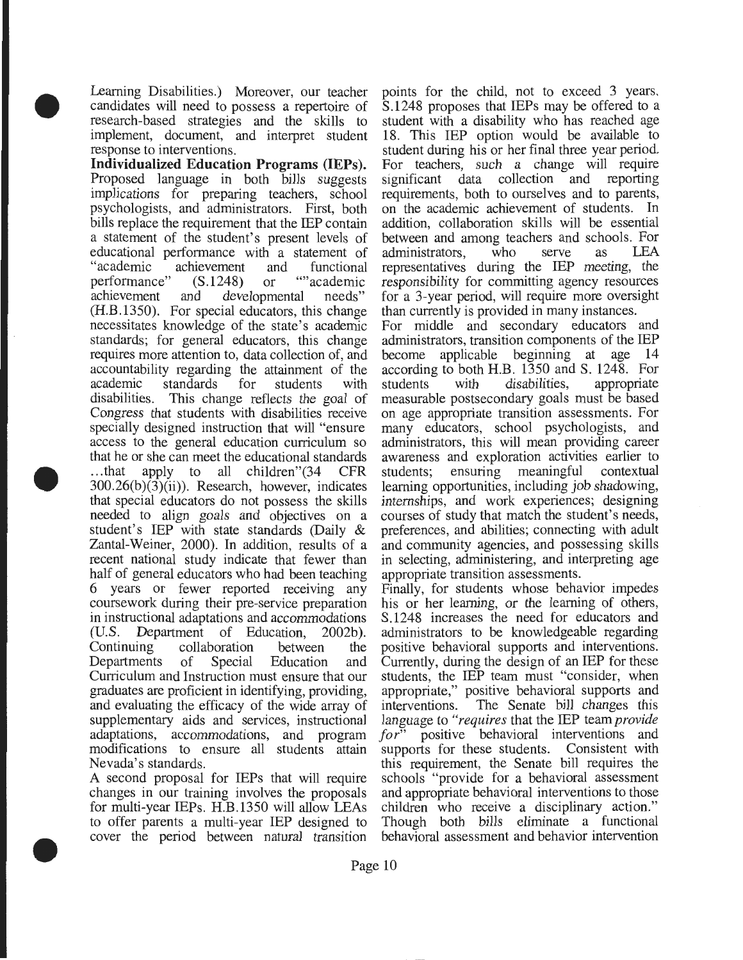Learning Disabilities.) Moreover, our teacher candidates will need to possess a repertoire of research-based strategies and the skills to implement, document, and interpret student response to interventions.

•

•

•

**Individualized Education Programs (IEPs).**  Proposed language in both bills suggests implications for preparing teachers, school psychologists, and administrators. First, both bills replace the requirement that the IEP contain a statement of the student's present levels of educational performance with a statement of "academic achievement and functional<br>performance" (S.1248) or ""academic" performance"  $(S.1248)$  or achievement and developmental needs" (H.B.1350). For special educators, this change necessitates knowledge of the state's academic standards; for general educators, this change requires more attention to, data collection of, and accountability regarding the attainment of the academic standards for students with disabilities. This change reflects the goal of Congress that students with disabilities receive specially designed instruction that will "ensure access to the general education curriculum so that he or she can meet the educational standards ... that apply to all children"(34 CFR 300.26(b)(3)(ii)). Research, however, indicates that special educators do not possess the skills needed to align goals and objectives on a student's IEP with state standards (Daily & Zantal-Weiner, 2000). In addition, results of a recent national study indicate that fewer than half of general educators who had been teaching 6 years or fewer reported receiving any coursework during their pre-service preparation in instructional adaptations and accommodations (U.S. Department of Education, 2002b). Continuing collaboration between the Departments of Special Education and Curriculum and Instruction must ensure that our graduates are proficient in identifying, providing, and evaluating the efficacy of the wide array of supplementary aids and services, instructional adaptations, accommodations, and program modifications to ensure all students attain Nevada's standards.

A second proposal for IEPs that will require changes in our training involves the proposals for multi-year IEPs. H.B.1350 will allow LEAs to offer parents a multi-year IEP designed to cover the period between natural transition

points for the child, not to exceed 3 years. S.1248 proposes that IEPs may be offered to a student with a disability who has reached age 18. This IEP option would be available to student during his or her final three year period. For teachers, such a change will require significant data collection and reporting requirements, both to ourselves and to parents, on the academic achievement of students. In addition, collaboration skills will be essential between and among teachers and schools. For<br>administrators. who serve as LEA administrators, who serve as representatives during the IEP meeting, the responsibility for committing agency resources for a 3-year period, will require more oversight than currently is provided in many instances.

For middle and secondary educators and administrators, transition components of the IEP become applicable beginning at age 14 according to both H.B. 1350 and S. 1248. For<br>students with disabilities, appropriate students with disabilities, measurable postsecondary goals must be based on age appropriate transition assessments. For many educators, school psychologists, and administrators, this will mean providing career awareness and exploration activities earlier to students; ensuring meaningful contextual learning opportunities, including job shadowing, internships, and work experiences; designing courses of study that match the student's needs, preferences, and abilities; connecting with adult and community agencies, and possessing skills in selecting, administering, and interpreting age appropriate transition assessments.

Finally, for students whose behavior impedes his or her learning, or the learning of others, S.1248 increases the need for educators and administrators to be knowledgeable regarding positive behavioral supports and interventions. Currently, during the design of an IEP for these students, the IEP team must "consider, when appropriate," positive behavioral supports and interventions. The Senate bill changes this language to *"requires* that the IEP team *provide for"* positive behavioral interventions and supports for these students. Consistent with this requirement, the Senate bill requires the schools "provide for a behavioral assessment and appropriate behavioral interventions to those children who receive a disciplinary action." Though both bills eliminate a functional behavioral assessment and behavior intervention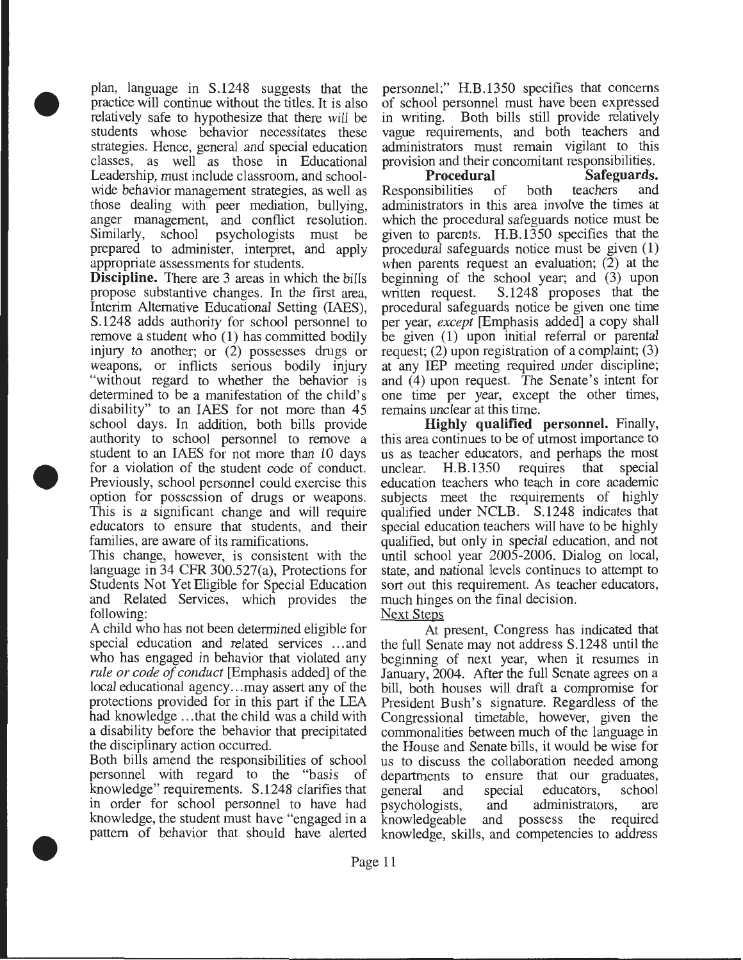plan, language in S.1248 suggests that the practice will continue without the titles. It is also relatively safe to hypothesize that there will be students whose behavior necessitates these strategies. Hence, general and special education classes, as well as those in Educational Leadership, must include classroom, and schoolwide behavior management strategies, as well as those dealing with peer mediation, bullying, anger management, and conflict resolution. Similarly, school psychologists must be prepared to administer, interpret, and apply appropriate assessments for students.

•

•

•

**Discipline.** There are 3 areas in which the bills propose substantive changes. In the first area, Interim Alternative Educational Setting (IAES), S.1248 adds authority for school personnel to remove a student who (1) has committed bodily injury to another; or (2) possesses drugs or weapons, or inflicts serious bodily injury "without regard to whether the behavior is determined to be a manifestation of the child's disability" to an IAES for not more than 45 school days. In addition, both bills provide authority to school personnel to remove a student to an IAES for not more than 10 days for a violation of the student code of conduct. Previously, school personnel could exercise this option for possession of drugs or weapons. This is a significant change and will require educators to ensure that students, and their families, are aware of its ramifications.

This change, however, is consistent with the language in 34 CFR 300.527(a), Protections for Students Not Yet Eligible for Special Education and Related Services, which provides the following:

A child who has not been determined eligible for special education and related services ... and who has engaged in behavior that violated any *rule or code of conduct* [Emphasis added] of the local educational agency... may assert any of the protections provided for in this part if the LEA had knowledge ... that the child was a child with a disability before the behavior that precipitated the disciplinary action occurred.

Both bills amend the responsibilities of school personnel with regard to the "basis of knowledge" requirements. S.1248 clarifies that in order for school personnel to have had knowledge, the student must have "engaged in a pattern of behavior that should have alerted

personnel;" H.B.1350 specifies that concerns of school personnel must have been expressed in writing. Both bills still provide relatively vague requirements, and both teachers and administrators must remain vigilant to this provision and their concomitant responsibilities.

**Procedural Safeguards.**  Responsibilities of both teachers and administrators in this area involve the times at which the procedural safeguards notice must be given to parents. H.B.1350 specifies that the procedural safeguards notice must be given **(1)**  when parents request an evaluation; (2) at the beginning of the school year; and (3) upon written request. S.1248 proposes that the procedural safeguards notice be given one time per year, *except* [Emphasis added] a copy shall be given (1) upon initial referral or parental request; (2) upon registration of a complaint; (3) at any IEP meeting required under discipline; and (4) upon request. The Senate's intent for one time per year, except the other times, remains unclear at this time.

**Highly qualified personnel.** Finally, this area continues to be of utmost importance to us as teacher educators, and perhaps the most unclear. H.B.1350 requires that special education teachers who teach in core academic subjects meet the requirements of highly qualified under NCLB. S.1248 indicates that special education teachers will have to be highly qualified, but only in special education, and not until school year 2005-2006. Dialog on local, state, and national levels continues to attempt to sort out this requirement. As teacher educators, much hinges on the final decision.

#### Next Steps

At present, Congress has indicated that the full Senate may not address S.1248 until the beginning of next year, when it resumes in January, 2004. After the full Senate agrees on a bill, both houses will draft a compromise for President Bush's signature. Regardless of the Congressional timetable, however, given the commonalities between much of the language in the House and Senate bills, it would be wise for us to discuss the collaboration needed among departments to ensure that our graduates, general and special educators, school psychologists, and administrators, are knowledgeable and possess the required knowledge, skills, and competencies to address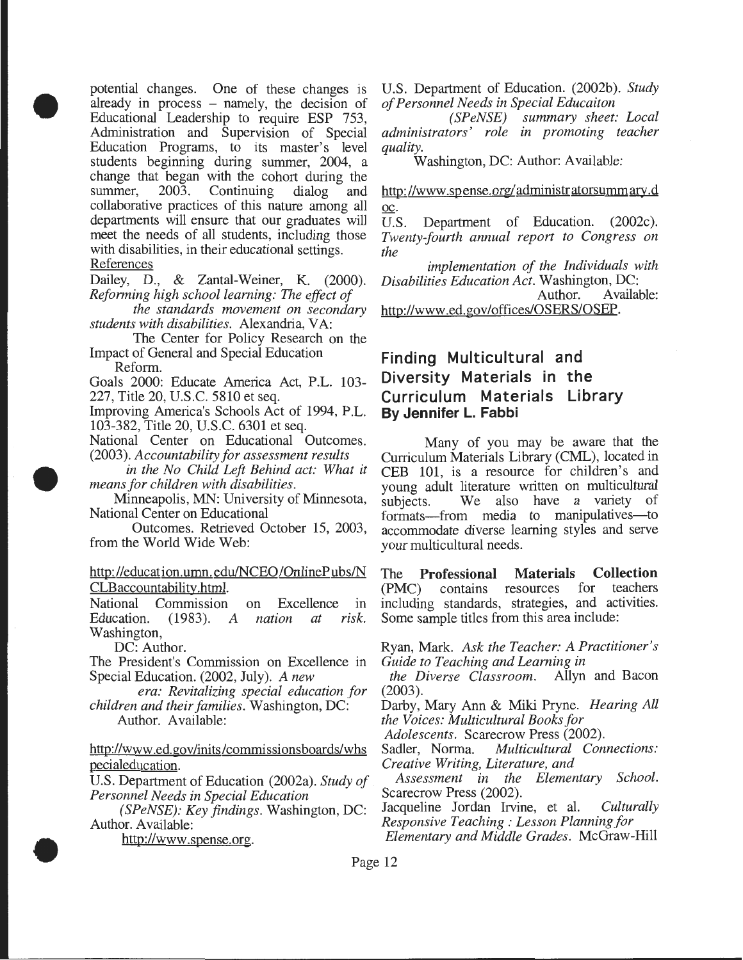potential changes. One of these changes is already in process – namely, the decision of Educational Leadership to require ESP 753, Administration and Supervision of Special Education Programs, to its master's level students beginning during summer, 2004, a change that began with the cohort during the<br>summer, 2003. Continuing dialog and summer, 2003. Continuing dialog and collaborative practices of this nature among all departments will ensure that our graduates will meet the needs of all students, including those with disabilities, in their educational settings. **References** 

•

•

•

Dailey, D., & Zantal-Weiner, K. (2000). *Reforming high school learning: The effect of* 

*the standards movement on secondary students with disabilities.* Alexandria, VA:

The Center for Policy Research on the Impact of General and Special Education Reform.

Goals 2000: Educate America Act, P.L. 103- 227, Title 20, U.S.C. 5810 et seq.

Improving America's Schools Act of 1994, P.L. 103-382, Title 20, U.S.C. 6301 et seq.

National Center on Educational Outcomes.

(2003). *Accountability for assessment results in the No Child Left Behind act: What it* 

*means for children with disabilities.* 

Minneapolis, MN: University of Minnesota, National Center on Educational

Outcomes. Retrieved October 15, 2003, from the World Wide Web:

#### http://education.umn.edu/NCEO/OnlinePubs/N CLBaccountability.html.

National Commission on Excellence in Education. (1983). *A nation at risk.*  Washington,

DC: Author.

The President's Commission on Excellence in Special Education. (2002, July). *A new* 

*era: Revitalizing special education for children and their families.* Washington, DC: Author. Available:

http://www.ed.gov/inits/commissionsboards/whs

pecialeducation.

U.S. Department of Education (2002a). *Study of Personnel Needs in Special Education* 

*(SPeNSE): Key findings.* Washington, DC: Author. Available:

http://www.spense.org.

U.S. Department of Education. (2002b). *Study of Personnel Needs in Special Educaiton* 

*(SPeNSE) summary sheet: Local administrators' role in promoting teacher quality.* 

Washington, DC: Author: Available:

http://www.spense.org/administratorsummary.d oc.

U.S. Department of Education. (2002c). *Twenty-fourth annual report to Congress on the* 

*implementation of the Individuals with Disabilities Education Act.* Washington, DC: Available: http://www .ed.gov/offices/OSERS/OSEP.

## **Finding Multicultural and Diversity Materials in the Curriculum Materials Library By Jennifer L. Fabbi**

Many of you may be aware that the Curriculum Materials Library (CML), located in CEB 101, is a resource for children's and young adult literature written on multicultural subjects. We also have a variety of formats-from media to manipulatives-to accommodate diverse learning styles and serve your multicultural needs.

The **Professional Materials Collection**  (PMC) contains resources including standards, strategies, and activities. Some sample titles from this area include:

Ryan, Mark. *Ask the Teacher: A Practitioner's Guide to Teaching and Learning in* 

*the Diverse Classroom.* Allyn and Bacon (2003).

Darby, Mary Ann & Miki Pryne. *Hearing All the Voices: Multicultural Books for* 

*Adolescents.* Scarecrow Press (2002).<br>Sadler, Norma. *Multicultural Cona* Multicultural Connections: *Creative Writing, Literature, and* 

*Assessment in the Elementary School.*  Scarecrow Press (2002).

Jacqueline Jordan Irvine, et al. *Culturally Responsive Teaching : Lesson Planning for* 

*Elementary and Middle Grades.* McGraw-Hill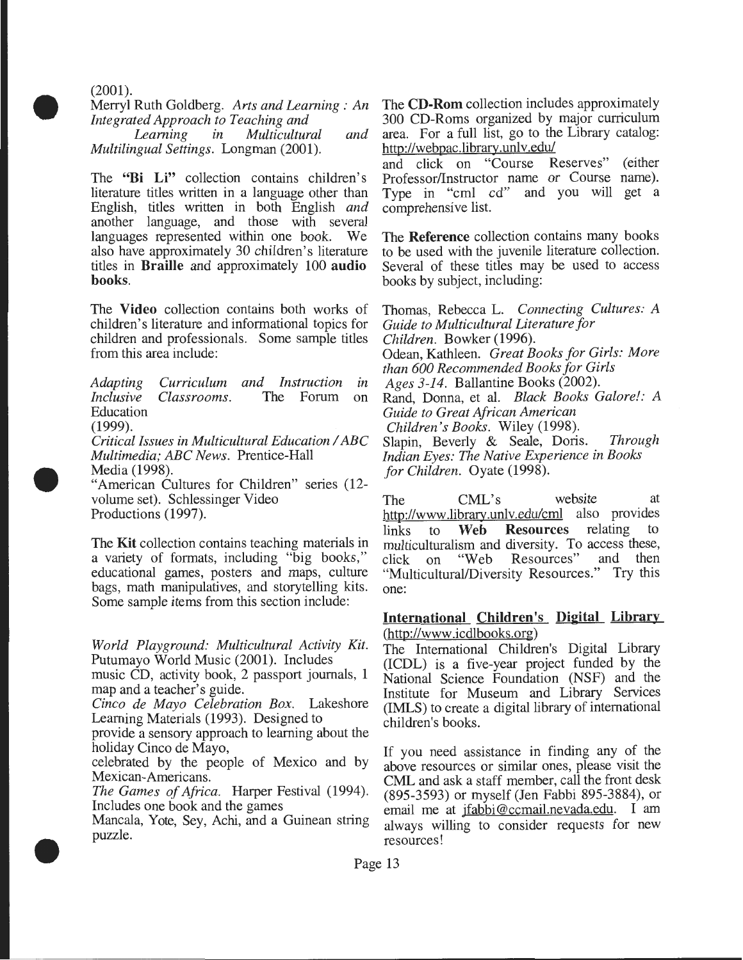$(2001)$ .

•

•

•

Merryl Ruth Goldberg. *Arts and Learning : An Integrated Approach to Teaching and* 

*Learning in Multicultural and Multilingual Settings.* Longman (2001).

The **"Bi Li"** collection contains children's literature titles written in a language other than English, titles written in both English *and*  another language, and those with several languages represented within one book. We also have approximately 30 children's literature titles in **Braille** and approximately 100 **audio books.** 

The **Video** collection contains both works of children's literature and informational topics for children and professionals. Some sample titles from this area include:

*Adapting Curriculum and Instruction in Inclusive Classrooms.* The Forum on Education (1999).

*Critical Issues in Multicultural Education I ABC Multimedia; ABC News.* Prentice-Hall Media (1998). "American Cultures for Children" series (12-

volume set). Schlessinger Video

Productions (1997).

The **Kit** collection contains teaching materials in a variety of formats, including "big books," educational games, posters and maps, culture bags, math manipulatives, and storytelling kits. Some sample items from this section include:

*World Playground: Multicultural Activity Kit.*  Putumayo World Music (2001). Includes

music CD, activity book, 2 passport journals, 1 map and a teacher's guide.

*Cinco de Mayo Celebration Box.* Lakeshore Learning Materials (1993). Designed to

provide a sensory approach to learning about the holiday Cinco de Mayo,

celebrated by the people of Mexico and by Mexican-Americans.

*The Games of Africa.* Harper Festival (1994). Includes one book and the games

Mancala, Yote, Sey, Achi, and a Guinean string puzzle.

The **CD-Rom** collection includes approximately 300 CD-Roms organized by major curriculum area. For a full list, go to the Library catalog: http://webpac.library.unlv.edu/

and click on "Course Reserves" (either Professor/Instructor name or Course name). Type in "cml cd" and you will get a comprehensive list.

The **Reference** collection contains many books to be used with the juvenile literature collection. Several of these titles may be used to access books by subject, including:

Thomas, Rebecca L. *Connecting Cultures: A Guide to Multicultural Literature for Children.* Bowker (1996). Odean, Kathleen. *Great Books for Girls: More than 600 Recommended Books for Girls Ages 3-14.* Ballantine Books (2002). Rand, Donna, et al. *Black Books Galore!: A Guide to Great African American Children's Books.* Wiley (1998). Slapin, Beverly & Seale, Doris. *Through Indian Eyes: The Native Experience in Books for Children.* Oyate (1998).

The CML's website at http://www.library.unly.edu/cml also provides links to **Web Resources** relating to multiculturalism and diversity. To access these,<br>click on "Web Resources" and then click on "Web Resources" "Multicultural/Diversity Resources." Try this one:

#### **International Children's Digital Library** (http://www .icdlbooks.org)

The International Children's Digital Library (ICDL) is a five-year project funded by the National Science Foundation (NSF) and the Institute for Museum and Library Services (IMLS) to create a digital library of international children's books.

If you need assistance in finding any of the above resources or similar ones, please visit the CML and ask a staff member, call the front desk (895-3593) or myself (Jen Fabbi 895-3884), or email me at jfabbi@ccmail.nevada.edu. I am always willing to consider requests for new resources!

Page 13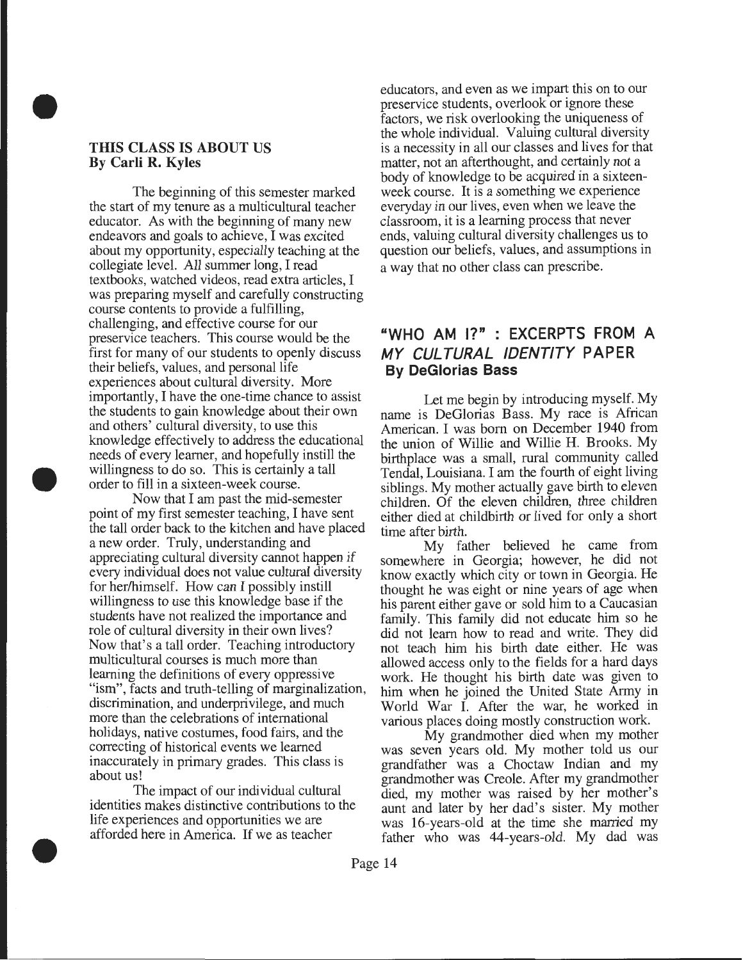#### THIS CLASS IS ABOUT US By Carli R. Kyles

•

•

•

The beginning of this semester marked the start of my tenure as a multicultural teacher educator. As with the beginning of many new endeavors and goals to achieve, I was excited about my opportunity, especially teaching at the collegiate level. All summer long, I read textbooks, watched videos, read extra articles, I was preparing myself and carefully constructing course contents to provide a fulfilling, challenging, and effective course for our preservice teachers. This course would be the first for many of our students to openly discuss their beliefs, values, and personal life experiences about cultural diversity. More importantly, I have the one-time chance to assist the students to gain knowledge about their own and others' cultural diversity, to use this knowledge effectively to address the educational needs of every learner, and hopefully instill the willingness to do so. This is certainly a tall order to fill in a sixteen-week course.

Now that I am past the mid-semester point of my first semester teaching, I have sent the tall order back to the kitchen and have placed a new order. Truly, understanding and appreciating cultural diversity cannot happen if every individual does not value cultural diversity for her/himself. How can I possibly instill willingness to use this knowledge base if the students have not realized the importance and role of cultural diversity in their own lives? Now that's a tall order. Teaching introductory multicultural courses is much more than learning the definitions of every oppressive "ism", facts and truth-telling of marginalization, discrimination, and underprivilege, and much more than the celebrations of international holidays, native costumes, food fairs, and the correcting of historical events we learned inaccurately in primary grades. This class is about us!

The impact of our individual cultural identities makes distinctive contributions to the life experiences and opportunities we are afforded here in America. If we as teacher

educators, and even as we impart this on to our preservice students, overlook or ignore these factors, we risk overlooking the uniqueness of the whole individual. Valuing cultural diversity is a necessity in all our classes and lives for that matter, not an afterthought, and certainly not a body of knowledge to be acquired in a sixteenweek course. It is a something we experience everyday in our lives, even when we leave the classroom, it is a learning process that never ends, valuing cultural diversity challenges us to question our beliefs, values, and assumptions in a way that no other class can prescribe.

## "WHO AM I?" : EXCERPTS FROM A MY CULTURAL IDENTITY PAPER By DeGiorias Bass

Let me begin by introducing myself. My name is DeGlorias Bass. My race is African American. I was born on December 1940 from the union of Willie and Willie H. Brooks. My birthplace was a small, rural community called Tendal, Louisiana. I am the fourth of eight living siblings. My mother actually gave birth to eleven children. Of the eleven children, three children either died at childbirth or lived for only a short time after birth.

My father believed he came from somewhere in Georgia; however, he did not know exactly which city or town in Georgia. He thought he was eight or nine years of age when his parent either gave or sold him to a Caucasian family. This family did not educate him so he did not learn how to read and write. They did not teach him his birth date either. He was allowed access only to the fields for a hard days work. He thought his birth date was given to him when he joined the United State Army in World War I. After the war, he worked in various places doing mostly construction work.

My grandmother died when my mother was seven years old. My mother told us our grandfather was a Choctaw Indian and my grandmother was Creole. After my grandmother died, my mother was raised by her mother's aunt and later by her dad's sister. My mother was 16-years-old at the time she married my father who was 44-years-old. My dad was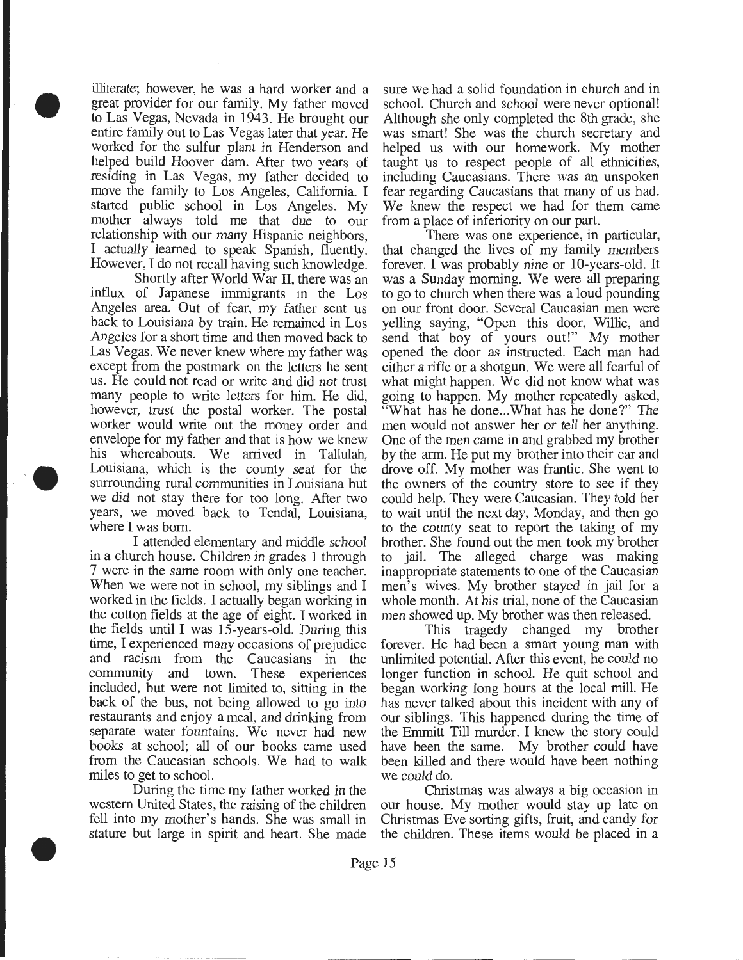• illiterate; however, he was a hard worker and a great provider for our family. My father moved to Las Vegas, Nevada in 1943. He brought our entire family out to Las Vegas later that year. He worked for the sulfur plant in Henderson and helped build Hoover dam. After two years of residing in Las Vegas, my father decided to move the family to Los Angeles, California. I started public school in Los Angeles. My mother always told me that due to our relationship with our many Hispanic neighbors, I actually learned to speak Spanish, fluently. However, I do not recall having such knowledge.

> Shortly after World War ll, there was an influx of Japanese immigrants in the Los Angeles area. Out of fear, my father sent us back to Louisiana by train. He remained in Los Angeles for a short time and then moved back to Las Vegas. We never knew where my father was except from the postmark on the letters he sent us. He could not read or write and did not trust many people to write letters for him. He did, however, trust the postal worker. The postal worker would write out the money order and envelope for my father and that is how we knew his whereabouts. We arrived in Tallulah, Louisiana, which is the county seat for the surrounding rural communities in Louisiana but we did not stay there for too long. After two years, we moved back to Tendal, Louisiana, where I was born.

> I attended elementary and middle school in a church house. Children in grades 1 through 7 were in the same room with only one teacher. When we were not in school, my siblings and I worked in the fields. I actually began working in the cotton fields at the age of eight. I worked in the fields until I was 15-years-old. During this time, I experienced many occasions of prejudice and racism from the Caucasians in the community and town. These experiences included, but were not limited to, sitting in the back of the bus, not being allowed to go into restaurants and enjoy a meal, and drinking from separate water fountains. We never had new books at school; all of our books came used from the Caucasian schools. We had to walk miles to get to school.

> During the time my father worked in the western United States, the raising of the children fell into my mother's hands. She was small in stature but large in spirit and heart. She made

•

sure we had a solid foundation in church and in school. Church and school were never optional! Although she only completed the 8th grade, she was smart! She was the church secretary and helped us with our homework. My mother taught us to respect people of all ethnicities, including Caucasians. There was an unspoken fear regarding Caucasians that many of us had. We knew the respect we had for them came from a place of inferiority on our part.

There was one experience, in particular, that changed the lives of my family members forever. I was probably nine or 10-years-old. It was a Sunday morning. We were all preparing to go to church when there was a loud pounding on our front door. Several Caucasian men were yelling saying, "Open this door, Willie, and send that boy of yours out!" My mother opened the door as instructed. Each man had either a rifle or a shotgun. We were all fearful of what might happen. We did not know what was going to happen. My mother repeatedly asked, "What has he done...What has he done?" The men would not answer her or tell her anything. One of the men came in and grabbed my brother by the arm. He put my brother into their car and drove off. My mother was frantic. She went to the owners of the country store to see if they could help. They were Caucasian. They told her to wait until the next day, Monday, and then go to the county seat to report the taking of my brother. She found out the men took my brother to jail. The alleged charge was making inappropriate statements to one of the Caucasian men's wives. My brother stayed in jail for a whole month. At his trial, none of the Caucasian men showed up. My brother was then released.

This tragedy changed my brother forever. He had been a smart young man with unlimited potential. After this event, he could no longer function in school. He quit school and began working long hours at the local mill. He has never talked about this incident with any of our siblings. This happened during the time of the Emmitt Till murder. I knew the story could have been the same. My brother could have been killed and there would have been nothing we could do.

Christmas was always a big occasion in our house. My mother would stay up late on Christmas Eve sorting gifts, fruit, and candy for the children. These items would be placed in a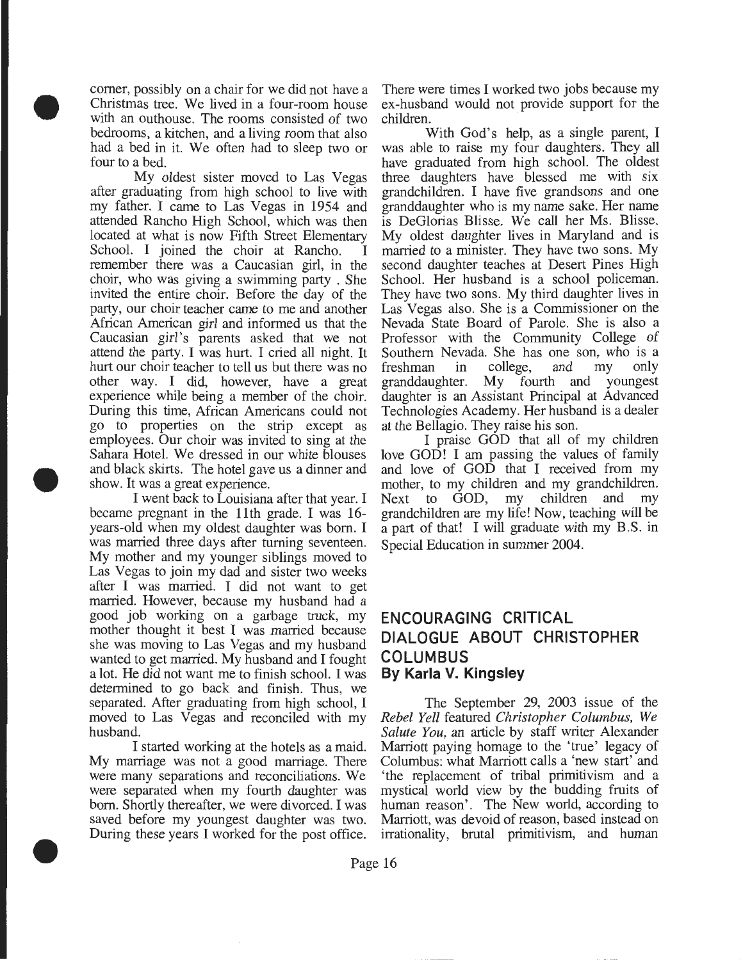comer, possibly on a chair for we did not have a Christmas tree. We lived in a four-room house with an outhouse. The rooms consisted of two bedrooms, a kitchen, and a living room that also had a bed in it. We often had to sleep two or four to a bed.

•

•

•

My oldest sister moved to Las Vegas after graduating from high school to live with my father. I came to Las Vegas in 1954 and attended Rancho High School, which was then located at what is now Fifth Street Elementary School. I joined the choir at Rancho. remember there was a Caucasian girl, in the choir, who was giving a swimming party . She invited the entire choir. Before the day of the party, our choir teacher came to me and another African American girl and informed us that the Caucasian girl's parents asked that we not attend the party. I was hurt. I cried all night. It hurt our choir teacher to tell us but there was no other way. I did, however, have a great experience while being a member of the choir. During this time, African Americans could not go to properties on the strip except as employees. Our choir was invited to sing at the Sahara Hotel. We dressed in our white blouses and black skirts. The hotel gave us a dinner and show. It was a great experience.

I went back to Louisiana after that year. I became pregnant in the 11th grade. I was 16 years-old when my oldest daughter was born. I was married three days after turning seventeen. My mother and my younger siblings moved to Las Vegas to join my dad and sister two weeks after I was married. I did not want to get married. However, because my husband had a good job working on a garbage truck, my mother thought it best I was married because she was moving to Las Vegas and my husband wanted to get married. My husband and I fought a lot. He did not want me to finish school. I was determined to go back and finish. Thus, we separated. After graduating from high school, I moved to Las Vegas and reconciled with my husband.

I started working at the hotels as a maid. My marriage was not a good marriage. There were many separations and reconciliations. We were separated when my fourth daughter was born. Shortly thereafter, we were divorced. I was saved before my youngest daughter was two. During these years I worked for the post office.

There were times I worked two jobs because my ex-husband would not provide support for the children.

With God's help, as a single parent, I was able to raise my four daughters. They all have graduated from high school. The oldest three daughters have blessed me with six grandchildren. I have five grandsons and one granddaughter who is my name sake. Her name is DeGlorias Blisse. We call her Ms. Blisse. My oldest daughter lives in Maryland and is married to a minister. They have two sons. My second daughter teaches at Desert Pines High School. Her husband is a school policeman. They have two sons. My third daughter lives in Las Vegas also. She is a Commissioner on the Nevada State Board of Parole. She is also a Professor with the Community College of Southern Nevada. She has one son, who is a freshman in college, and my only freshman in college, and my only granddaughter. My fourth and youngest daughter is an Assistant Principal at Advanced Technologies Academy. Her husband is a dealer at the Bellagio. They raise his son.

I praise GOD that all of my children love GOD! I am passing the values of family and love of GOD that I received from my mother, to my children and my grandchildren. Next to GOD, my children and my grandchildren are my life! Now, teaching will be a part of that! I will graduate with my B.S. in Special Education in summer 2004.

## **ENCOURAGING CRITICAL DIALOGUE ABOUT CHRISTOPHER COLUMBUS By Karla V. Kingsley**

The September 29, 2003 issue of the *Rebel Yell* featured *Christopher Columbus, We Salute You,* an article by staff writer Alexander Marriott paying homage to the 'true' legacy of Columbus: what Marriott calls a 'new start' and 'the replacement of tribal primitivism and a mystical world view by the budding fruits of human reason'. The New world, according to Marriott, was devoid of reason, based instead on irrationality, brutal primitivism, and human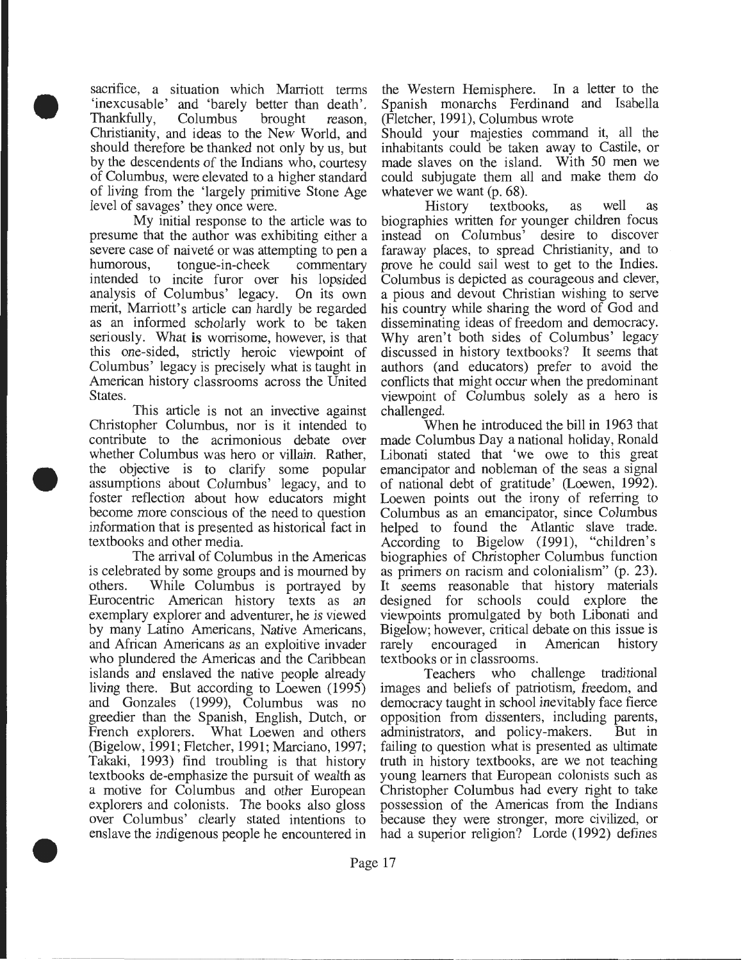sacrifice, a situation which Marriott terms 'inexcusable' and 'barely better than death' . Thankfully, Columbus brought reason, Christianity, and ideas to the New World, and should therefore be thanked not only by us, but by the descendents of the Indians who, courtesy of Columbus, were elevated to a higher standard of living from the 'largely primitive Stone Age level of savages' they once were.

•

•

•

My initial response to the article was to presume that the author was exhibiting either a severe case of naiveté or was attempting to pen a humorous, tongue-in-cheek commentary intended to incite furor over his lopsided analysis of Columbus' legacy. On its own merit, Marriott's article can hardly be regarded as an informed scholarly work to be taken seriously. What is worrisome, however, is that this one-sided, strictly heroic viewpoint of Columbus' legacy is precisely what is taught in American history classrooms across the United States.

This article is not an invective against Christopher Columbus, nor is it intended to contribute to the acrimonious debate over whether Columbus was hero or villain. Rather, the objective is to clarify some popular assumptions about Columbus' legacy, and to foster reflection about how educators might become more conscious of the need to question information that is presented as historical fact in textbooks and other media.

The arrival of Columbus in the Americas is celebrated by some groups and is mourned by others. While Columbus is portrayed by Eurocentric American history texts as an exemplary explorer and adventurer, he is viewed by many Latino Americans, Native Americans, and African Americans as an exploitive invader who plundered the Americas and the Caribbean islands and enslaved the native people already living there. But according to Loewen (1995) and Gonzales (1999), Columbus was no greedier than the Spanish, English, Dutch, or French explorers. What Loewen and others (Bigelow, 1991; Fletcher, 1991; Marciano, 1997; Takaki, 1993) find troubling is that history textbooks de-emphasize the pursuit of wealth as a motive for Columbus and other European explorers and colonists. The books also gloss over Columbus' clearly stated intentions to enslave the indigenous people he encountered in

the Western Hemisphere. In a letter to the Spanish monarchs Ferdinand and Isabella (Fletcher, 1991), Columbus wrote

Should your majesties command it, all the inhabitants could be taken away to Castile, or made slaves on the island. With 50 men we could subjugate them all and make them do whatever we want (p. 68).

History textbooks, as well as biographies written for younger children focus instead on Columbus' desire to discover faraway places, to spread Christianity, and to prove he could sail west to get to the Indies. Columbus is depicted as courageous and clever, a pious and devout Christian wishing to serve his country while sharing the word of God and disseminating ideas of freedom and democracy. Why aren't both sides of Columbus' legacy discussed in history textbooks? It seems that authors (and educators) prefer to avoid the conflicts that might occur when the predominant viewpoint of Columbus solely as a hero is challenged.

When he introduced the bill in 1963 that made Columbus Day a national holiday, Ronald Libonati stated that 'we owe to this great emancipator and nobleman of the seas a signal of national debt of gratitude' (Loewen, 1992). Loewen points out the irony of referring to Columbus as an emancipator, since Columbus helped to found the Atlantic slave trade. According to Bigelow (1991), "children's biographies of Christopher Columbus function as primers on racism and colonialism" (p. 23). It seems reasonable that history materials designed for schools could explore the viewpoints promulgated by both Libonati and Bigelow; however, critical debate on this issue is rarely encouraged in American history textbooks or in classrooms.

Teachers who challenge traditional images and beliefs of patriotism, freedom, and democracy taught in school inevitably face fierce opposition from dissenters, including parents, administrators, and policy-makers. But in failing to question what is presented as ultimate truth in history textbooks, are we not teaching young learners that European colonists such as Christopher Columbus had every right to take possession of the Americas from the Indians because they were stronger, more civilized, or had a superior religion? Lorde (1992) defines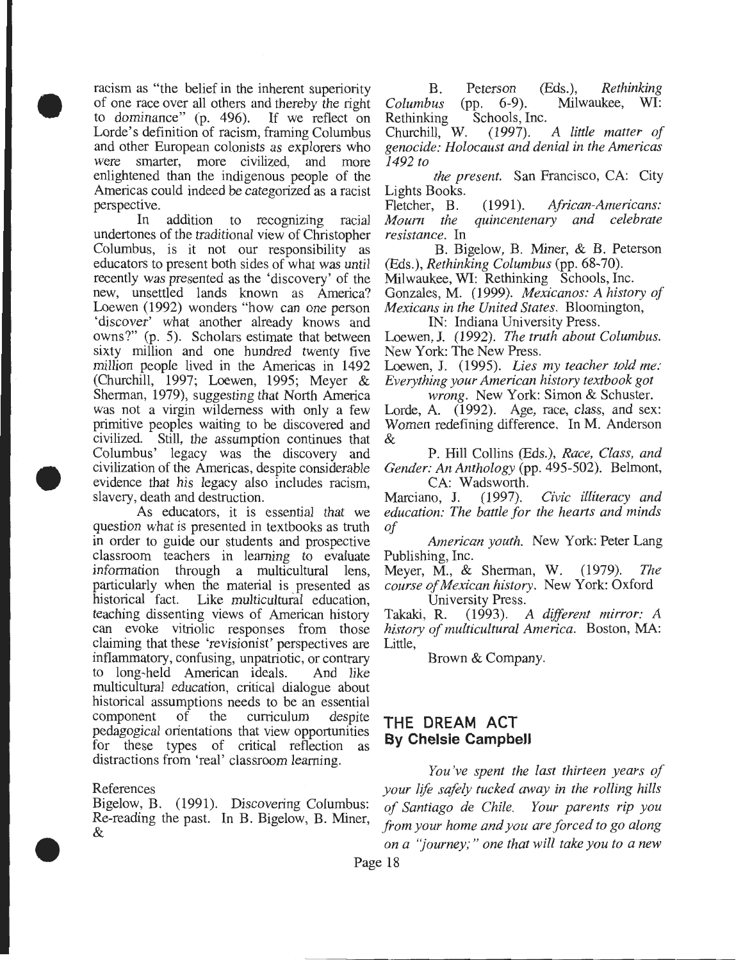racism as "the belief in the inherent superiority of one race over all others and thereby the right to dominance" (p. 496). If we reflect on Lorde's definition of racism, framing Columbus and other European colonists as explorers who were smarter, more civilized, and more enlightened than the indigenous people of the Americas could indeed be categorized as a racist perspective.

•

•

•

In addition to recognizing racial undertones of the traditional view of Christopher Columbus, is it not our responsibility as educators to present both sides of what was until recently was presented as the 'discovery' of the new, unsettled lands known as America? Loewen (1992) wonders "how can one person 'discover' what another already knows and owns?" (p. 5). Scholars estimate that between sixty million and one hundred twenty five million people lived in the Americas in 1492 (Churchill, 1997; Loewen, 1995; Meyer & Sherman, 1979), suggesting that North America was not a virgin wilderness with only a few primitive peoples waiting to be discovered and civilized. Still, the assumption continues that Columbus' legacy was the discovery and civilization of the Americas, despite considerable evidence that his legacy also includes racism, slavery, death and destruction.

As educators, it is essential that we question what is presented in textbooks as truth in order to guide our students and prospective classroom teachers in learning to evaluate information through a multicultural lens, particularly when the material is presented as historical fact. Like multicultural education, teaching dissenting views of American history can evoke vitriolic responses from those claiming that these 'revisionist' perspectives are inflammatory, confusing, unpatriotic, or contrary to long-held American ideals. And like multicultural education, critical dialogue about historical assumptions needs to be an essential component of the curriculum despite pedagogical orientations that view opportunities for these types of critical reflection as distractions from 'real' classroom learning.

References

Bigelow, B. (1991). Discovering Columbus: Re-reading the past. In B. Bigelow, B. Miner, &

B. Peterson (Eds.), *Rethinking Columbus* (pp. 6-9). Milwaukee, WI:

Rethinking Schools, Inc.<br>Churchill, W. (1997). Churchill, W. (1997). *A little matter of genocide: Holocaust and denial in the Americas 1492 to* 

*the present.* San Francisco, CA: City Lights Books.

Fletcher, B. (1991). *African-Americans: Mourn the quincentenary and celebrate resistance.* In

B. Bigelow, B. Miner, & B. Peterson (Eds.), *Rethinking Columbus* (pp. 68-70).

Milwaukee, WI: Rethinking Schools, Inc.

Gonzales, M. (1999). *Mexicanos: A history of Mexicans in the United States.* Bloomington, IN: Indiana University Press.

Loewen, J. (1992). *The truth about Columbus.*  New York: The New Press.

Loewen, J. (1995). *Lies my teacher told me: Everything your American history textbook got* 

*wrong.* New York: Simon & Schuster. Lorde, A. (1992). Age, race, class, and sex:

Women redefining difference. In M. Anderson &

P. Hill Collins (Eds.), *Race, Class, and Gender: An Anthology* (pp. 495-502). Belmont,

CA: Wadsworth.<br>no. J. (1997). Marciano, J. (1997). *Civic illiteracy and education: The battle for the hearts and minds of* 

*American youth.* New York: Peter Lang Publishing, Inc.

Meyer, M., & Sherman, W. (1979). *The course of Mexican history.* New York: Oxford University Press.

Takaki, R. (1993). *A different mirror: A history of multicultural America.* Boston, MA: Little,

Brown & Company.

### **THE DREAM ACT By Chelsie Campbell**

*You've spent the last thirteen years of your life safely tucked away in the rolling hills of Santiago de Chile. Your parents rip you from your home and you are forced to go along on a "journey;* " *one that will take you to a new* 

Page 18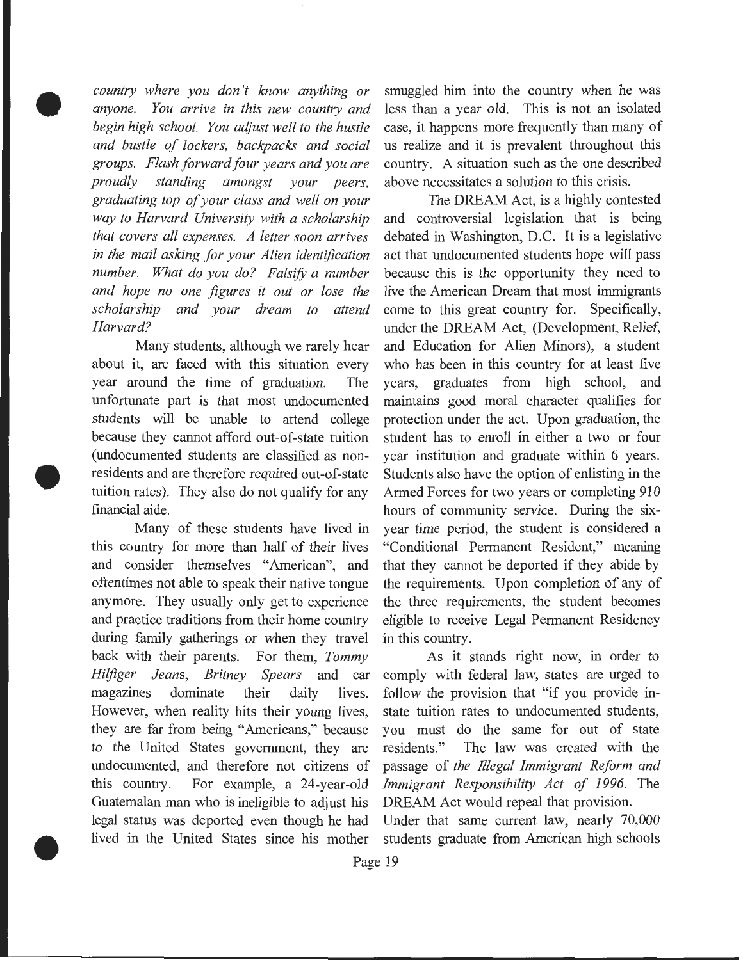*anyone. You arrive in this new country and* less than a year old. This is not an isolated *begin high school. You adjust well to the hustle* case, it happens more frequently than many of *and bustle of lockers, backpacks and social* us realize and it is prevalent throughout this *groups. Flash forward four years and you are* country. A situation such as the one described *proudly standing amongst your peers,* above necessitates a solution to this crisis. *graduating top of your class and well on your* The DREAM Act, is a highly contested *way to Harvard University with a scholarship* and controversial legislation that is being *that covers all expenses. A letter soon arrives* debated in Washington, D.C. It is a legislative *in the mail asking for your Alien identification* act that undocumented students hope will pass *number. What do you do? Falsify a number* because this is the opportunity they need to *and hope no one figures it out or lose the* live the American Dream that most immigrants *scholarship and your dream to attend* come to this great country for. Specifically, *Harvard?* under the DREAM Act, (Development, Relief,

•

•

•

about it, are faced with this situation every who has been in this country for at least five year around the time of graduation. The years, graduates from high school, and unfortunate part is that most undocumented maintains good moral character qualifies for students will be unable to attend college protection under the act. Upon graduation, the because they cannot afford out-of-state tuition student has to emoll in either a two or four (undocumented students are classified as non- year institution and graduate within 6 years . residents and are therefore required out-of-state Students also have the option of enlisting in the tuition rates). They also do not qualify for any Armed Forces for two years or completing 910 financial aide. hours of community service. During the six-

this country for more than half of their lives "Conditional Permanent Resident," meaning and consider themselves "American", and that they cannot be deported if they abide by oftentimes not able to speak their native tongue the requirements. Upon completion of any of anymore. They usually only get to experience the three requirements, the student becomes and practice traditions from their home country eligible to receive Legal Permanent Residency during family gatherings or when they travel in this country. back with their parents. For them, *Tommy* As it stands right now, in order to *Hilfiger Jeans, Britney Spears* and car comply with federal law, states are urged to magazines dominate their daily lives. follow the provision that "if you provide in-However, when reality hits their young lives, state tuition rates to undocumented students, they are far from being "Americans," because you must do the same for out of state to the United States government, they are residents." The law was created with the undocumented, and therefore not citizens of passage of *the Illegal Immigrant Reform and*  this country. For example, a 24-year-old *Immigrant Responsibility Act of 1996.* The Guatemalan man who is ineligible to adjust his DREAM Act would repeal that provision. legal status was deported even though he had Under that same current law, nearly 70,000 lived in the United States since his mother students graduate from American high schools

*country where you don 't know anything or* smuggled him into the country when he was

Many students, although we rarely hear and Education for Alien Minors), a student Many of these students have lived in year time period, the student is considered a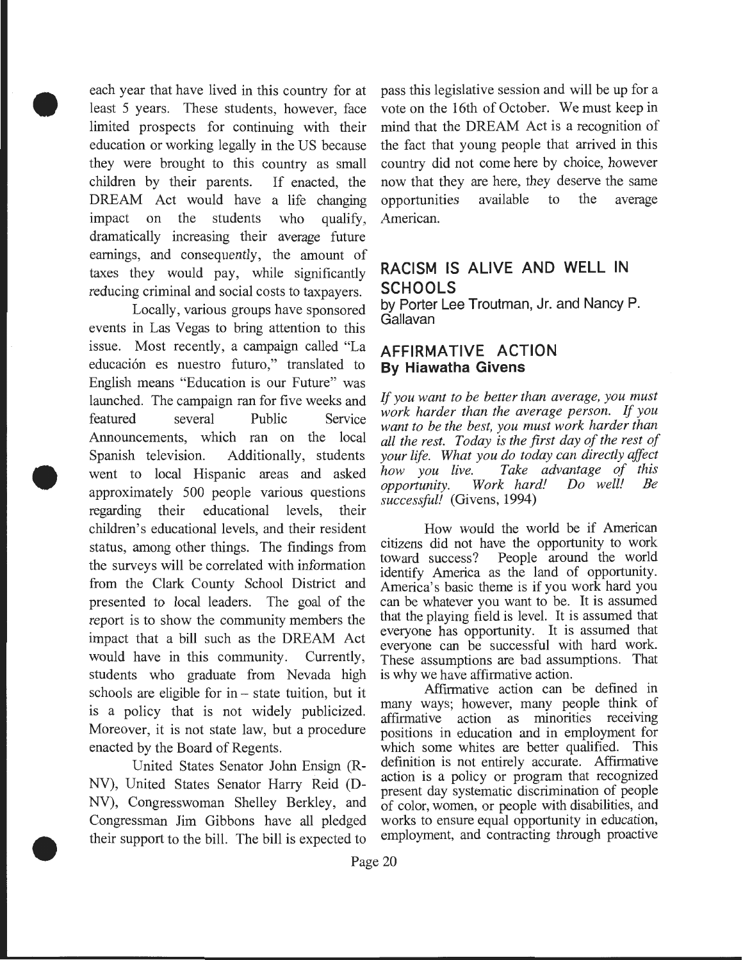each year that have lived in this country for at least 5 years. These students, however, face limited prospects for continuing with their education or working legally in the US because they were brought to this country as small children by their parents. If enacted, the DREAM Act would have a life changing impact on the students who qualify, dramatically increasing their average future earnings, and consequently, the amount of taxes they would pay, while significantly reducing criminal and social costs to taxpayers.

•

•

•

Locally, various groups have sponsored events in Las Vegas to bring attention to this issue. Most recently, a campaign called "La **AFFIRMATIVE ACTION**  educación es nuestro futuro," translated to **By Hiawatha Givens** English means "Education is our Future" was launched. The campaign ran for five weeks and featured several Public Service Announcements, which ran on the local Spanish television. Additionally, students went to local Hispanic areas and asked approximately 500 people various questions regarding their educational levels, their children's educational levels, and their resident How would the world be if American<br>status among other things. The findings from citizens did not have the opportunity to work status, among other things. The findings from citizens did not have the opportunity to work<br>the ourses will be correlated with information toward success? People around the world the surveys will be correlated with information from the Clark County School District and America's basic theme is if you work hard you presented to local leaders. The goal of the can be whatever you want to be. It is assumed<br>report is to show the community members the that the playing field is level. It is assumed that report is to show the community members the that the playing field is level. It is assumed that impact that a hill such as the DBFAM. impact that a bill such as the DREAM Act would have in this community. Currently, These assumptions are bad assumptions. That students who graduate from Nevada high is why we have affirmative action.<br>schools are eligible for in – state tuition but it. Affirmative action can be defined in schools are eligible for in – state tuition, but it<br>is a policy that is not widely publicized.  $\frac{1}{\text{max}}$  ways; however, many people think of 1s a policy that is not widely publicized. affirmative action as minorities receiving<br>Moreover, it is not state law, but a procedure positions in education and in employment for

NV), United States Senator Harry Reid (D-<br>present day systematic discrimination of people<br>NV), Congresswoman Shelley Berkley, and of color women or people with disabilities, and Congressman Jim Gibbons have all pledged works to ensure equal opportunity in education, their support to the bill The bill is expected to employment, and contracting through proactive their support to the bill. The bill is expected to

pass this legislative session and will be up for a vote on the 16th of October. We must keep in mind that the DREAM Act is a recognition of the fact that young people that arrived in this country did not come here by choice, however now that they are here, they deserve the same opportunities available to the average American.

## **RACISM IS ALIVE AND WELL IN SCHOOLS**

by Porter Lee Troutman, Jr. and Nancy P. Gallavan

*If you want to be better than average, you must work harder than the average person. If you want to be the best, you must work harder than all the rest. Today is the first day of the rest of your life. What you do today can directly affect how you live. Take advantage of this Work hard! successful!* (Givens, 1994)

identify America as the land of opportunity. everyone can be successful with hard work.

positions in education and in employment for enacted by the Board of Regents.<br>Inited States Senator John Ensign (R<sub>n</sub> definition is not entirely accurate. Affirmative United States Senator John Ensign  $(R - \alpha)$  definition is not entirely accurate. Affirmative of color, women, or people with disabilities, and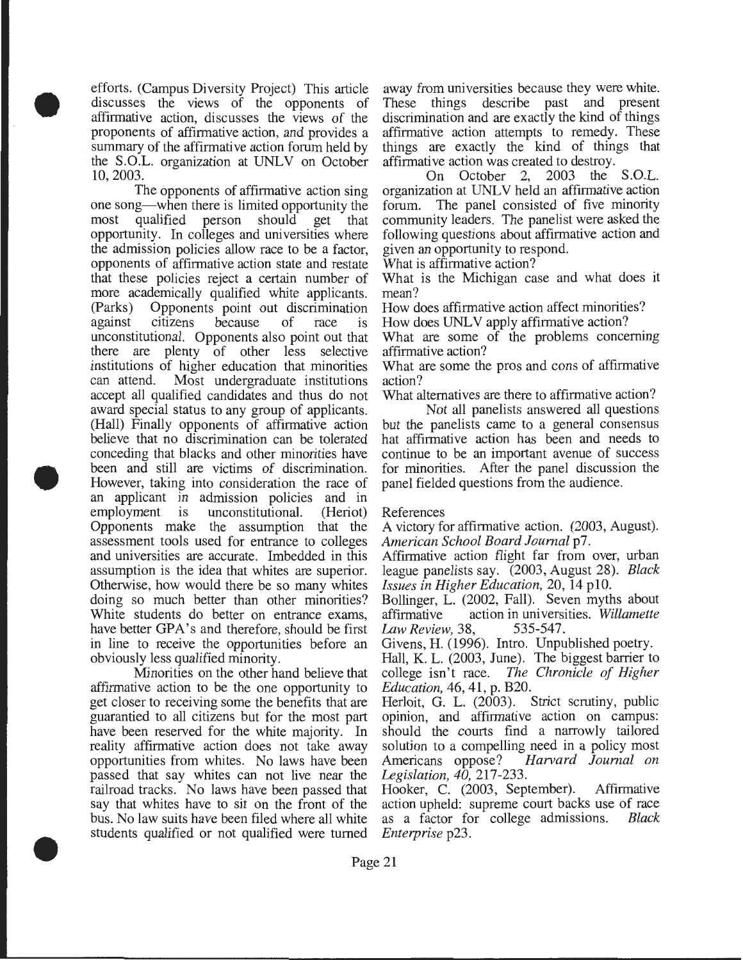efforts. (Campus Diversity Project) This article discusses the views of the opponents of affirmative action, discusses the views of the proponents of affirmative action, and provides a summary of the affirmative action forum held by the S.O.L. organization at UNLV on October 10,2003.

•

•

•

The opponents of affirmative action sing one song—when there is limited opportunity the<br>most qualified person should get that qualified person should get that opportunity. In colleges and universities where the admission policies allow race to be a factor, opponents of affirmative action state and restate that these policies reject a certain number of more academically qualified white applicants. (Parks) Opponents point out discrimination against citizens because of race is unconstitutional. Opponents also point out that there are plenty of other less selective institutions of higher education that minorities can attend. Most undergraduate institutions accept all qualified candidates and thus do not award special status to any group of applicants. (Hall) Finally opponents of affirmative action believe that no discrimination can be tolerated conceding that blacks and other minorities have been and still are victims of discrimination. However, taking into consideration the race of an applicant in admission policies and in employment is unconstitutional. (Heriot) Opponents make the assumption that the assessment tools used for entrance to colleges and universities are accurate. Imbedded in this assumption is the idea that whites are superior. Otherwise, how would there be so many whites doing so much better than other minorities? White students do better on entrance exams, have better GPA's and therefore, should be first in line to receive the opportunities before an obviously less qualified minority.

Minorities on the other hand believe that affirmative action to be the one opportunity to get closer to receiving some the benefits that are guarantied to all citizens but for the most part have been reserved for the white majority. In reality affirmative action does not take away opportunities from whites. No laws have been passed that say whites can not live near the railroad tracks. No laws have been passed that say that whites have to sit on the front of the bus. No law suits have been filed where all white students qualified or not qualified were turned

away from universities because they were white. These things describe past and present discrimination and are exactly the kind of things affirmative action attempts to remedy. These things are exactly the kind of things that affirmative action was created to destroy.

On October 2, 2003 the S.O.L. organization at UNLV held an affirmative action forum. The panel consisted of five minority community leaders. The panelist were asked the following questions about affirmative action and given an opportunity to respond.

What is affirmative action?

What is the Michigan case and what does it mean?

How does affirmative action affect minorities?

How does UNLV apply affirmative action?

What are some of the problems concerning affirmative action?

What are some the pros and cons of affirmative action?

What alternatives are there to affirmative action?

Not all panelists answered all questions but the panelists came to a general consensus hat affirmative action has been and needs to continue to be an important avenue of success for minorities. After the panel discussion the panel fielded questions from the audience.

#### References

A victory for affirmative action. (2003, August). *American School Board Journal* p7.

Affirmative action flight far from over, urban league panelists say. (2003, August 28). *Black Issues in Higher Education,* 20, 14 plO.

Bollinger, L. (2002, Fall). Seven myths about affirmative action in universities. *Willamette Law Review,* 38, 535-547.

Givens, H. (1996). Intro. Unpublished poetry.

Hall, K. L. (2003, June). The biggest barrier to college isn't race. *The Chronicle of Higher Education,* 46, 41, p. B20.

Herloit, G. L. (2003). Strict scrutiny, public opinion, and affirmative action on campus: should the courts find a narrowly tailored solution to a compelling need in a policy most<br>Americans oppose? Harvard Journal on Americans oppose? *Harvard Journal on Legislation, 4[),* 217-233.

Hooker, C. (2003, September). Affirmative action upheld: supreme court backs use of race as a factor for college admissions. *Black Enterprise* p23 .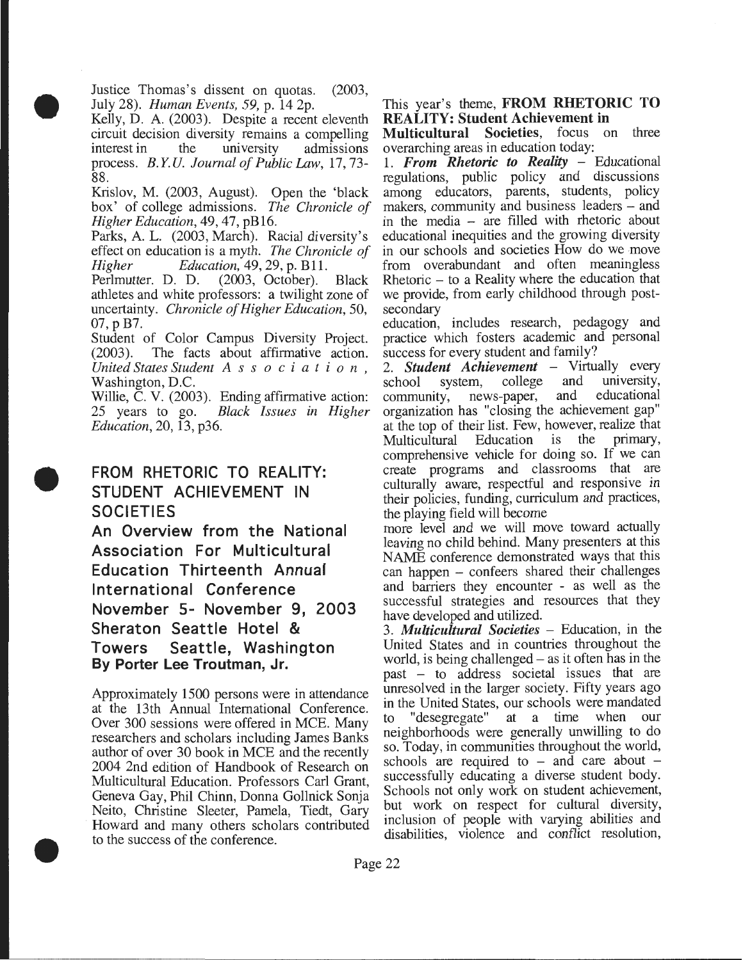Justice Thomas's dissent on quotas. (2003, July 28). *Human Events, 59,* p. 14 2p.

•

•

•

Kelly, D. A. (2003). Despite a recent eleventh circuit decision diversity remains a compelling<br>interest in the university admissions interest in the university admissions process. *B.Y.U. Journal of Public* Law, 17,73- 88.

Krislov, M. (2003, August). Open the 'black box' of college admissions. *The Chronicle of Higher Education,* 49, 47, pB16.

Parks, A. L. (2003, March). Racial diversity's effect on education is a myth. *The Chronicle of* 

*Higher Education, 49, 29, p. B11.*<br>Perlmutter. D. D. (2003, October). Perlmutter. D. D. (2003, October). Black athletes and white professors: a twilight zone of uncertainty. *Chronicle of Higher Education,* 50, 07, p B7.

Student of Color Campus Diversity Project. (2003). The facts about affirmative action. *United States Student A s s o c i a t i o n* , Washington, D.C.

Willie, C. V. (2003). Ending affirmative action: 25 years to go. *Black Issues in Higher Education,* 20, 13, p36.

## FROM RHETORIC TO REALITY: STUDENT ACHIEVEMENT IN **SOCIETIES**

An Overview from the National Association For Multicultural Education Thirteenth Annual International Conference November 5- November 9, 2003 Sheraton Seattle Hotel & Towers Seattle, Washington By Porter Lee Troutman, Jr.

Approximately 1500 persons were in attendance at the 13th Annual International Conference. Over 300 sessions were offered in MCE. Many researchers and scholars including James Banks author of over 30 book in MCE and the recently 2004 2nd edition of Handbook of Research on Multicultural Education. Professors Carl Grant, Geneva Gay, Phil Chinn, Donna Gollnick Sonja Neito, Christine Sleeter, Pamela, Tiedt, Gary Howard and many others scholars contributed to the success of the conference .

This year's theme, FROM RHETORIC TO REALITY: Student Achievement in

Multicultural Societies, focus on three overarching areas in education today:

1. *From Rhetoric to Reality* - Educational regulations, public policy and discussions among educators, parents, students, policy makers, community and business leaders – and in the media - are filled with rhetoric about educational inequities and the growing diversity in our schools and societies How do we move from overabundant and often meaningless Rhetoric - to a Reality where the education that we provide, from early childhood through postsecondary

education, includes research, pedagogy and practice which fosters academic and personal success for every student and family?

2. *Student Achievement* – Virtually every school system, college and university, school system, college and university,<br>community, news-paper, and educational community, news-paper, and organization has "closing the achievement gap" at the top of their list. Few, however, realize that<br>Multicultural Education is the primary, Multicultural Education comprehensive vehicle for doing so. If we can create programs and classrooms that are culturally aware, respectful and responsive in their policies, funding, curriculum and practices, the playing field will become

more level and we will move toward actually leaving no child behind. Many presenters at this NAME conference demonstrated ways that this can happen - confeers shared their challenges and barriers they encounter - as well as the successful strategies and resources that they have developed and utilized.

3. *Multicultural Societies* - Education, in the United States and in countries throughout the world, is being challenged – as it often has in the past - to address societal issues that are unresolved in the larger society. Fifty years ago in the United States, our schools were mandated to "desegregate" at a time when our neighborhoods were generally unwilling to do so. Today, in communities throughout the world, schools are required to - and care about successfully educating a diverse student body. Schools not only work on student achievement, but work on respect for cultural diversity, inclusion of people with varying abilities and disabilities, violence and conflict resolution,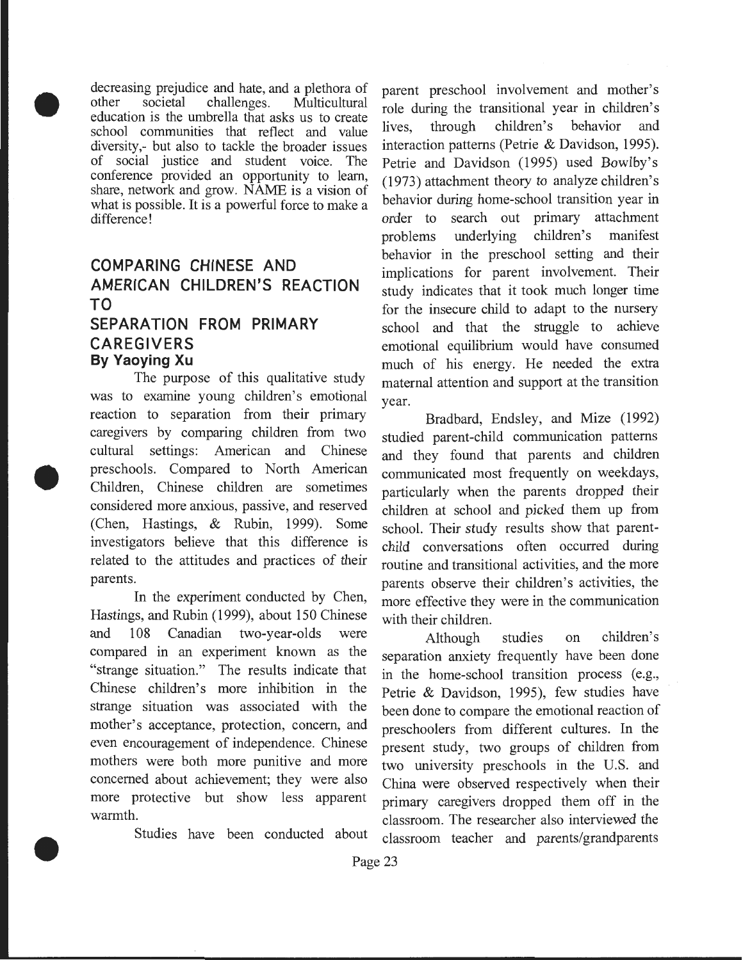decreasing prejudice and hate, and a plethora of<br>other societal challenges. Multicultural Multicultural education is the umbrella that asks us to create school communities that reflect and value diversity,- but also to tackle the broader issues of social justice and student voice. The conference provided an opportunity to learn, share, network and grow. NAME is a vision of what is possible. It is a powerful force to make a difference!

## **COMPARING CHINESE AND AMERICAN CHILDREN'S REACTION TO SEPARATION FROM PRIMARY**

#### **CAREGIVERS By Yaoying Xu**

•

•

•

The purpose of this qualitative study was to examine young children's emotional reaction to separation from their primary caregivers by comparing children from two cultural settings: American and Chinese preschools. Compared to North American Children, Chinese children are sometimes considered more anxious, passive, and reserved (Chen, Hastings, & Rubin, 1999). Some investigators believe that this difference is related to the attitudes and practices of their parents.

In the experiment conducted by Chen, Hastings, and Rubin (1999), about 150 Chinese and 108 Canadian two-year-olds were compared in an experiment known as the "strange situation." The results indicate that Chinese children's more inhibition in the strange situation was associated with the mother's acceptance, protection, concern, and even encouragement of independence. Chinese mothers were both more punitive and more concerned about achievement; they were also more protective but show less apparent warmth.

Studies have been conducted about

parent preschool involvement and mother's role during the transitional year in children's lives, through children's behavior and interaction patterns (Petrie & Davidson, 1995). Petrie and Davidson (1995) used Bowlby's (1973) attachment theory to analyze children's behavior during home-school transition year in order to search out primary attachment problems underlying children's manifest behavior in the preschool setting and their implications for parent involvement. Their study indicates that it took much longer time for the insecure child to adapt to the nursery school and that the struggle to achieve emotional equilibrium would have consumed much of his energy. He needed the extra maternal attention and support at the transition year.

Bradbard, Endsley, and Mize (1992) studied parent-child communication patterns and they found that parents and children communicated most frequently on weekdays, particularly when the parents dropped their children at school and picked them up from school. Their study results show that parentchild conversations often occurred during routine and transitional activities, and the more parents observe their children's activities, the more effective they were in the communication with their children.

Although studies on children's separation anxiety frequently have been done in the home-school transition process (e.g., Petrie & Davidson, 1995), few studies have been done to compare the emotional reaction of preschoolers from different cultures. In the present study, two groups of children from two university preschools in the U.S. and China were observed respectively when their primary caregivers dropped them off in the classroom. The researcher also interviewed the classroom teacher and parents/grandparents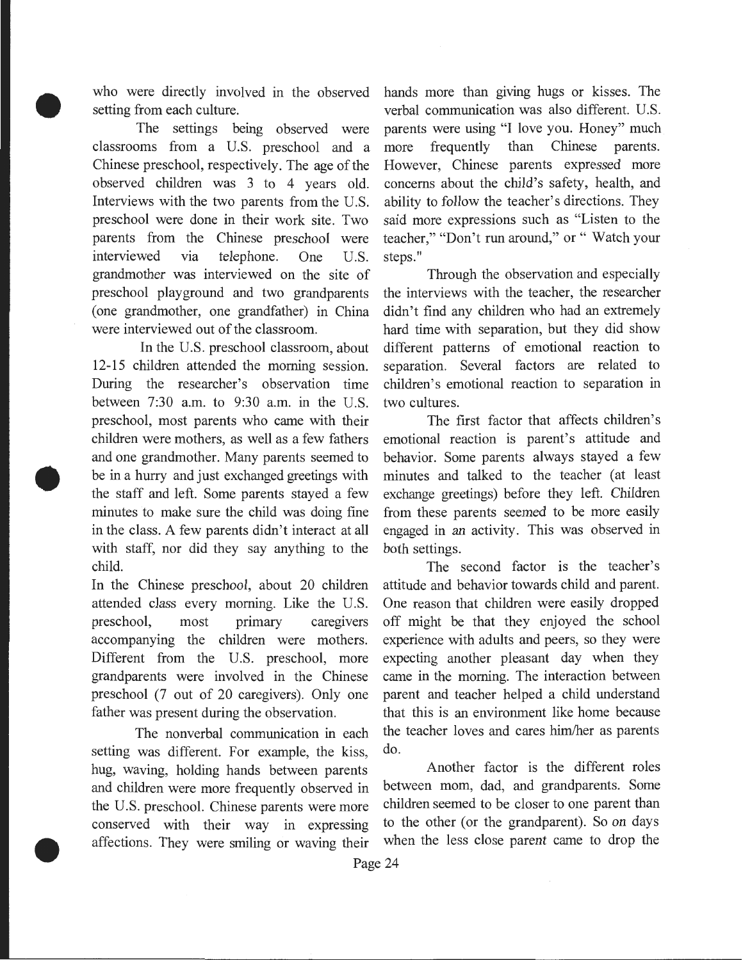who were directly involved in the observed setting from each culture.

•

•

•

The settings being observed were classrooms from a U.S. preschool and a Chinese preschool, respectively. The age of the observed children was 3 to 4 years old. Interviews with the two parents from the U.S. preschool were done in their work site. Two parents from the Chinese preschool were interviewed via telephone. One U.S. grandmother was interviewed on the site of preschool playground and two grandparents (one grandmother, one grandfather) in China were interviewed out of the classroom.

In the U.S. preschool classroom, about 12-15 children attended the morning session. During the researcher's observation time between 7:30 a.m. to 9:30 a.m. in the U.S. preschool, most parents who came with their children were mothers, as well as a few fathers and one grandmother. Many parents seemed to be in a hurry and just exchanged greetings with the staff and left. Some parents stayed a few minutes to make sure the child was doing fine in the class. A few parents didn't interact at all with staff, nor did they say anything to the child.

In the Chinese preschool, about 20 children attended class every morning. Like the U.S. preschool, most primary caregivers accompanying the children were mothers. Different from the U.S. preschool, more grandparents were involved in the Chinese preschool (7 out of 20 caregivers). Only one father was present during the observation.

setting was different. For example, the kiss, do. hug, waving, holding hands between parents Another factor is the different roles and children were more frequently observed in between mom, dad, and grandparents. Some the U.S. preschool. Chinese parents were more children seemed to be closer to one parent than conserved with their way in expressing to the other (or the grandparent). So on days affections. They were smiling or waving their when the less close parent came to drop the

hands more than giving hugs or kisses. The verbal communication was also different. U.S. parents were using "I love you. Honey" much more frequently than Chinese parents. However, Chinese parents expressed more concerns about the child's safety, health, and ability to follow the teacher's directions. They said more expressions such as "Listen to the teacher," "Don't run around," or " Watch your steps."

Through the observation and especially the interviews with the teacher, the researcher didn't find any children who had an extremely hard time with separation, but they did show different patterns of emotional reaction to separation. Several factors are related to children's emotional reaction to separation in two cultures.

The first factor that affects children's emotional reaction is parent's attitude and behavior. Some parents always stayed a few minutes and talked to the teacher (at least exchange greetings) before they left. Children from these parents seemed to be more easily engaged in an activity. This was observed in both settings.

The second factor is the teacher's attitude and behavior towards child and parent. One reason that children were easily dropped off might be that they enjoyed the school experience with adults and peers, so they were expecting another pleasant day when they came in the morning. The interaction between parent and teacher helped a child understand that this is an environment like home because The nonverbal communication in each the teacher loves and cares him/her as parents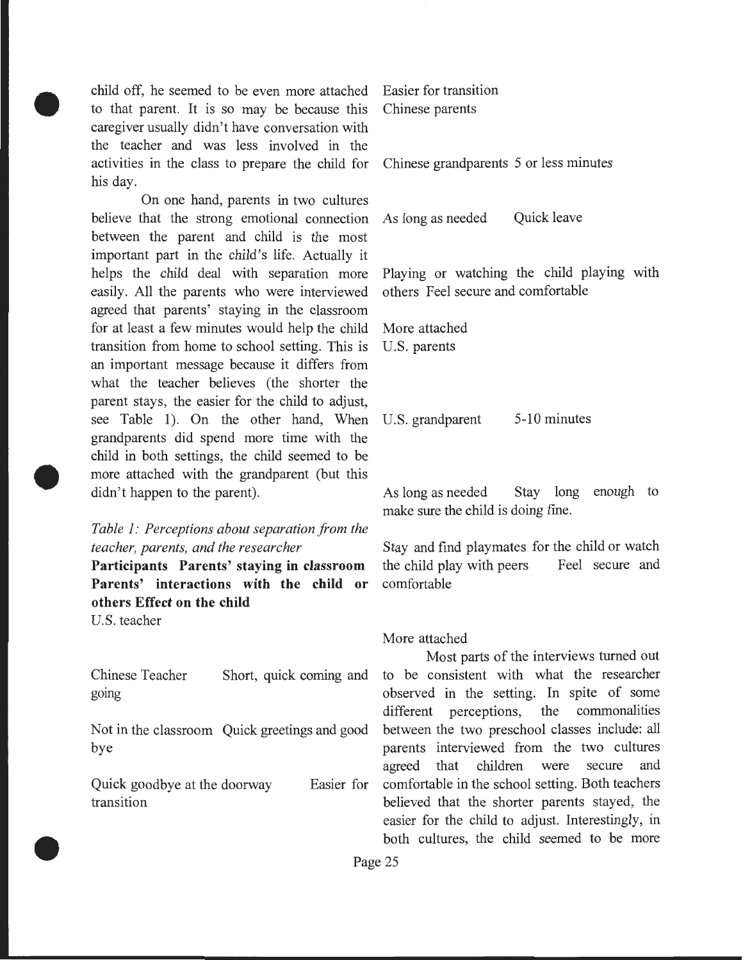child off, he seemed to be even more attached to that parent. It is so may be because this caregiver usually didn't have conversation with the teacher and was less involved in the activities in the class to prepare the child for Chinese grandparents 5 or less minutes his day.

On one hand, parents in two cultures believe that the strong emotional connection between the parent and child is the most important part in the child's life. Actually it helps the child deal with separation more easily. All the parents who were interviewed agreed that parents' staying in the classroom for at least a few minutes would help the child transition from home to school setting. This is an important message because it differs from what the teacher believes (the shorter the parent stays, the easier for the child to adjust, see Table 1). On the other hand, When grandparents did spend more time with the child in both settings, the child seemed to be more attached with the grandparent (but this didn't happen to the parent).

### *Table 1: Perceptions about separation from the teacher, parents, and the researcher*

**Participants Parents' staying in classroom Parents' interactions with the child or others Effect on the child** 

U.S. teacher

•

•

•

Chinese Teacher gomg

Not in the classroom Quick greetings and good bye

Quick goodbye at the doorway Easier for transition

Easier for transition Chinese parents

As long as needed Quick leave

Playing or watching the child playing with others Feel secure and comfortable

More attached U.S. parents

U.S. grandparent 5-10 minutes

As long as needed Stay long enough to make sure the child is doing fine.

Stay and find playmates for the child or watch the child play with peers Feel secure and comfortable

#### More attached

Most parts of the interviews turned out Short, quick coming and to be consistent with what the researcher observed in the setting. In spite of some different perceptions, the commonalities between the two preschool classes include: all parents interviewed from the two cultures agreed that children were secure and comfortable in the school setting. Both teachers believed that the shorter parents stayed, the easier for the child to adjust. Interestingly, in both cultures, the child seemed to be more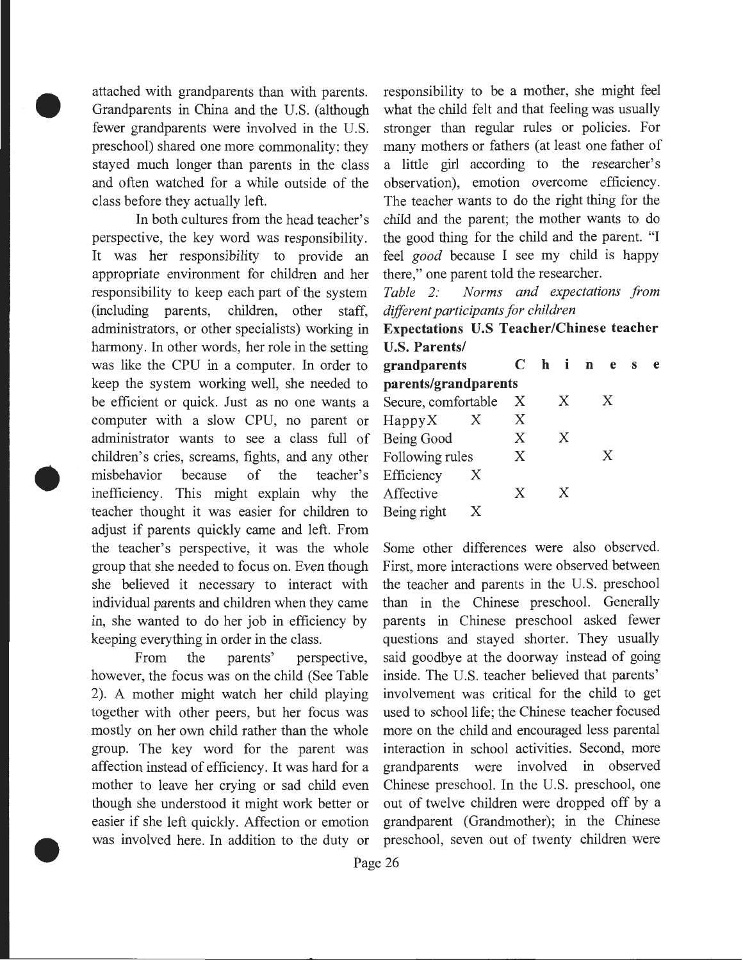attached with grandparents than with parents. Grandparents in China and the U.S. (although fewer grandparents were involved in the U.S. preschool) shared one more commonality: they stayed much longer than parents in the class and often watched for a while outside of the class before they actually left.

•

•

•

In both cultures from the head teacher's perspective, the key word was responsibility. It was her responsibility to provide an appropriate environment for children and her responsibility to keep each part of the system (including parents, children, other staff, administrators, or other specialists) working in harmony. In other words, her role in the setting was like the CPU in a computer. In order to keep the system working well, she needed to be efficient or quick. Just as no one wants a computer with a slow CPU, no parent or administrator wants to see a class full of children's cries, screams, fights, and any other misbehavior because of the teacher's inefficiency. This might explain why the teacher thought it was easier for children to adjust if parents quickly came and left. From the teacher's perspective, it was the whole Some other differences were also observed. group that she needed to focus on. Even though First, more interactions were observed between she believed it necessary to interact with the teacher and parents in the U.S. preschool individual parents and children when they came than in the Chinese preschool. Generally in, she wanted to do her job in efficiency by parents in Chinese preschool asked fewer keeping everything in order in the class. questions and stayed shorter. They usually

however, the focus was on the child (See Table inside. The U.S. teacher believed that parents' 2). A mother might watch her child playing involvement was critical for the child to get together with other peers, but her focus was used to school life; the Chinese teacher focused mostly on her own child rather than the whole more on the child and encouraged less parental group. The key word for the parent was interaction in school activities. Second, more affection instead of efficiency. It was hard for a grandparents were involved in observed mother to leave her crying or sad child even Chinese preschool. In the U.S. preschool, one though she understood it might work better or out of twelve children were dropped off by a easier if she left quickly. Affection or emotion grandparent (Grandmother); in the Chinese

responsibility to be a mother, she might feel what the child felt and that feeling was usually stronger than regular rules or policies. For many mothers or fathers (at least one father of a little girl according to the researcher's observation), emotion overcome efficiency. The teacher wants to do the right thing for the child and the parent; the mother wants to do the good thing for the child and the parent. "I feel *good* because I see my child is happy there," one parent told the researcher.

*Table 2: Norms and expectations from different participants for children* 

**Expectations** U.S **Teacher/Chinese teacher**  U.S. **Parents/** 

| grandparents         |   |   |  |   |  | Chines |  | e |
|----------------------|---|---|--|---|--|--------|--|---|
| parents/grandparents |   |   |  |   |  |        |  |   |
| Secure, comfortable  |   | X |  | X |  | X      |  |   |
| $H$ appy $X$         | X | X |  |   |  |        |  |   |
| Being Good           |   | X |  | X |  |        |  |   |
| Following rules      |   | X |  |   |  | X      |  |   |
| Efficiency           | X |   |  |   |  |        |  |   |
| Affective            |   | X |  | X |  |        |  |   |
| Being right          |   |   |  |   |  |        |  |   |

From the parents' perspective, said goodbye at the doorway instead of going was involved here. In addition to the duty or preschool, seven out of twenty children were